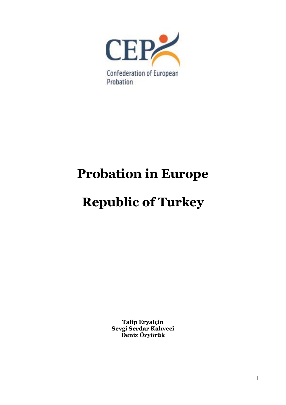

# **Probation in Europe**

# **Republic of Turkey**

**Talip Eryalçin Sevgi Serdar Kahveci Deniz Özyörük**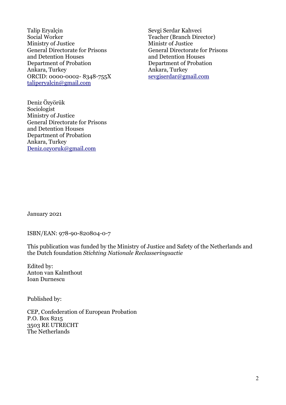Talip Eryalcin Sevgi Serdar Kahveci Social Worker Teacher (Branch Director) Ministry of Justice Ministr of Justice General Directorate for Prisons General Directorate for Prisons and Detention Houses and Detention Houses Department of Probation Department of Probation Ankara, Turkey Ankara, Turkey ORCID: 0000-0002-8348-755X [taliperyalcin@gmail.com](mailto:taliperyalcin@gmail.com)

Deniz Özyörük Sociologist Ministry of Justice General Directorate for Prisons and Detention Houses Department of Probation Ankara, Turkey [Deniz.ozyoruk@gmail.com](mailto:Deniz.ozyoruk@gmail.com)

January 2021

ISBN/EAN: 978-90-820804-0-7

This publication was funded by the Ministry of Justice and Safety of the Netherlands and the Dutch foundation *Stichting Nationale Reclasseringsactie*

Edited by: Anton van Kalmthout Ioan Durnescu

Published by:

CEP, Confederation of European Probation P.O. Box 8215 3503 RE UTRECHT The Netherlands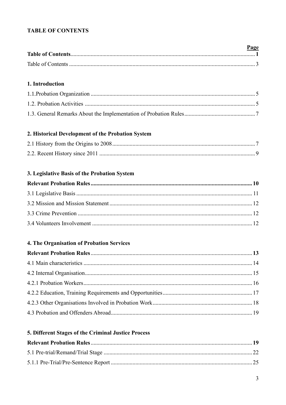# **TABLE OF CONTENTS**

| Page |
|------|
|      |
|      |

# 1. Introduction

# 2. Historical Development of the Probation System

# 3. Legislative Basis of the Probation System

# 4. The Organisation of Probation Services

# 5. Different Stages of the Criminal Justice Process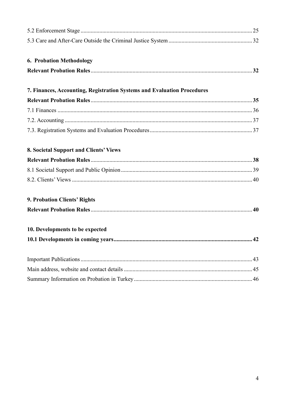| <b>6. Probation Methodology</b>                                         |    |  |  |  |
|-------------------------------------------------------------------------|----|--|--|--|
|                                                                         |    |  |  |  |
| 7. Finances, Accounting, Registration Systems and Evaluation Procedures |    |  |  |  |
|                                                                         |    |  |  |  |
|                                                                         |    |  |  |  |
|                                                                         |    |  |  |  |
|                                                                         |    |  |  |  |
| <b>8. Societal Support and Clients' Views</b>                           |    |  |  |  |
|                                                                         |    |  |  |  |
|                                                                         |    |  |  |  |
|                                                                         |    |  |  |  |
| 9. Probation Clients' Rights                                            |    |  |  |  |
|                                                                         |    |  |  |  |
| 10. Developments to be expected                                         |    |  |  |  |
|                                                                         | 42 |  |  |  |
|                                                                         |    |  |  |  |
|                                                                         |    |  |  |  |
|                                                                         |    |  |  |  |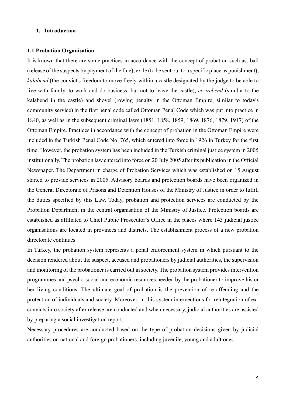# **1. Introduction**

### **1.1 Probation Organisation**

It is known that there are some practices in accordance with the concept of probation such as: bail (release of the suspects by payment of the fine), exile (to be sent out to a specific place as punishment), *kalabend* (the convict's freedom to move freely within a castle designated by the judge to be able to live with family, to work and do business, but not to leave the castle), *cezirebend* (similar to the kalabend in the castle) and shovel (rowing penalty in the Ottoman Empire, similar to today's community service) in the first penal code called Ottoman Penal Code which was put into practice in 1840, as well as in the subsequent criminal laws (1851, 1858, 1859, 1869, 1876, 1879, 1917) of the Ottoman Empire. Practices in accordance with the concept of probation in the Ottoman Empire were included in the Turkish Penal Code No. 765, which entered into force in 1926 in Turkey for the first time. However, the probation system has been included in the Turkish criminal justice system in 2005 institutionally. The probation law entered into force on 20 July 2005 after its publication in the Official Newspaper. The Department in charge of Probation Services which was established on 15 August started to provide services in 2005. Advisory boards and protection boards have been organized in the General Directorate of Prisons and Detention Houses of the Ministry of Justice in order to fulfill the duties specified by this Law. Today, probation and protection services are conducted by the Probation Department in the central organisation of the Ministry of Justice. Protection boards are established as affiliated to Chief Public Prosecutor's Office in the places where 143 judicial justice organisations are located in provinces and districts. The establishment process of a new probation directorate continues.

In Turkey, the probation system represents a penal enforcement system in which pursuant to the decision rendered about the suspect, accused and probationers by judicial authorities, the supervision and monitoring of the probationer is carried out in society. The probation system provides intervention programmes and psycho-social and economic resources needed by the probationer to improve his or her living conditions. The ultimate goal of probation is the prevention of re-offending and the protection of individuals and society. Moreover, in this system interventions for reintegration of exconvicts into society after release are conducted and when necessary, judicial authorities are assisted by preparing a social investigation report.

Necessary procedures are conducted based on the type of probation decisions given by judicial authorities on national and foreign probationers, including juvenile, young and adult ones.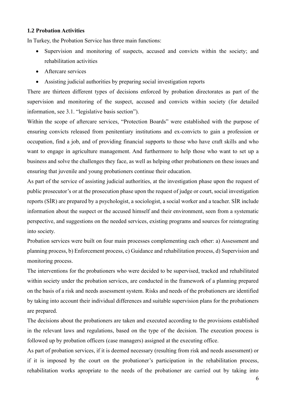# **1.2 Probation Activities**

In Turkey, the Probation Service has three main functions:

- Supervision and monitoring of suspects, accused and convicts within the society; and rehabilitation activities
- Aftercare services
- Assisting judicial authorities by preparing social investigation reports

There are thirteen different types of decisions enforced by probation directorates as part of the supervision and monitoring of the suspect, accused and convicts within society (for detailed information, see 3.1. "legislative basis section").

Within the scope of aftercare services, "Protection Boards" were established with the purpose of ensuring convicts released from penitentiary institutions and ex-convicts to gain a profession or occupation, find a job, and of providing financial supports to those who have craft skills and who want to engage in agriculture management. And furthermore to help those who want to set up a business and solve the challenges they face, as well as helping other probationers on these issues and ensuring that juvenile and young probationers continue their education.

As part of the service of assisting judicial authorities, at the investigation phase upon the request of public prosecutor's or at the prosecution phase upon the request of judge or court, social investigation reports (SİR) are prepared by a psychologist, a sociologist, a social worker and a teacher. SİR include information about the suspect or the accused himself and their environment, seen from a systematic perspective, and suggestions on the needed services, existing programs and sources for reintegrating into society.

Probation services were built on four main processes complementing each other: a) Assessment and planning process, b) Enforcement process, c) Guidance and rehabilitation process, d) Supervision and monitoring process.

The interventions for the probationers who were decided to be supervised, tracked and rehabilitated within society under the probation services, are conducted in the framework of a planning prepared on the basis of a risk and needs assessment system. Risks and needs of the probationers are identified by taking into account their individual differences and suitable supervision plans for the probationers are prepared.

The decisions about the probationers are taken and executed according to the provisions established in the relevant laws and regulations, based on the type of the decision. The execution process is followed up by probation officers (case managers) assigned at the executing office.

As part of probation services, if it is deemed necessary (resulting from risk and needs assessment) or if it is imposed by the court on the probationer's participation in the rehabilitation process, rehabilitation works apropriate to the needs of the probationer are carried out by taking into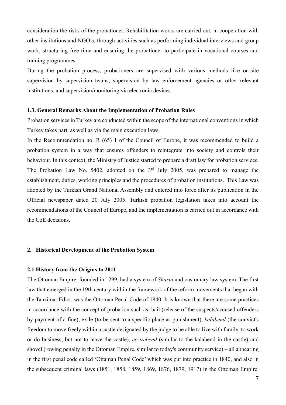consideration the risks of the probationer. Rehabilitation works are carried out, in cooperation with other institutions and NGO's, through activities such as performing individual interviews and group work, structuring free time and ensuring the probationer to participate in vocational courses and training programmes.

During the probation process, probationers are supervised with various methods like on-site supervision by supervision teams, supervision by law enforcement agencies or other relevant institutions, and supervision/monitoring via electronic devices.

#### **1.3. General Remarks About the Implementation of Probation Rules**

Probation services in Turkey are conducted within the scope of the international conventions in which Turkey takes part, as well as via the main execution laws.

In the Recommendation no. R (65) 1 of the Council of Europe, it was recommended to build a probation system in a way that ensures offenders to reintegrate into society and controls their behaviour. In this context, the Ministry of Justice started to prepare a draft law for probation services. The Probation Law No. 5402, adopted on the  $3<sup>rd</sup>$  July 2005, was prepared to manage the establishment, duties, working principles and the procedures of probation institutions. This Law was adopted by the Turkish Grand National Assembly and entered into force after its publication in the Official newspaper dated 20 July 2005. Turkish probation legislation takes into account the recommendations of the Council of Europe, and the implementation is carried out in accordance with the CoE decisions.

### **2. Historical Development of the Probation System**

#### **2.1 History from the Origins to 2011**

The Ottoman Empire, founded in 1299, had a system of *Sharia* and customary law system. The first law that emerged in the 19th century within the framework of the reform movements that began with the Tanzimat Edict, was the Ottoman Penal Code of 1840. It is known that there are some practices in accordance with the concept of probation such as: bail (release of the suspects/accused offenders by payment of a fine), exile (to be sent to a specific place as punishment), *kalabend* (the convict's freedom to move freely within a castle designated by the judge to be able to live with family, to work or do business, but not to leave the castle), *cezirebend* (similar to the kalabend in the castle) and shovel (rowing penalty in the Ottoman Empire, similar to today's community service) – all appearing in the first penal code called 'Ottaman Penal Code' which was put into practice in 1840, and also in the subsequent criminal laws (1851, 1858, 1859, 1869, 1876, 1879, 1917) in the Ottoman Empire.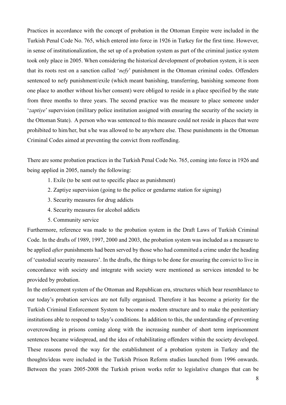Practices in accordance with the concept of probation in the Ottoman Empire were included in the Turkish Penal Code No. 765, which entered into force in 1926 in Turkey for the first time. However, in sense of institutionalization, the set up of a probation system as part of the criminal justice system took only place in 2005. When considering the historical development of probation system, it is seen that its roots rest on a sanction called '*nefy*' punishment in the Ottoman criminal codes. Offenders sentenced to nefy punishment/exile (which meant banishing, transferring, banishing someone from one place to another without his/her consent) were obliged to reside in a place specified by the state from three months to three years. The second practice was the measure to place someone under '*zaptiye*'supervision (military police institution assigned with ensuring the security of the society in the Ottoman State). A person who was sentenced to this measure could not reside in places that were prohibited to him/her, but s/he was allowed to be anywhere else. These punishments in the Ottoman Criminal Codes aimed at preventing the convict from reoffending.

There are some probation practices in the Turkish Penal Code No. 765, coming into force in 1926 and being applied in 2005, namely the following:

- 1. Exile (to be sent out to specific place as punishment)
- 2. Zaptiye supervision (going to the police or gendarme station for signing)
- 3. Security measures for drug addicts
- 4. Security measures for alcohol addicts
- 5. Community service

Furthermore, reference was made to the probation system in the Draft Laws of Turkish Criminal Code. In the drafts of 1989, 1997, 2000 and 2003, the probation system was included as a measure to be applied *after* punishments had been served by those who had committed a crime under the heading of 'custodial security measures'. In the drafts, the things to be done for ensuring the convict to live in concordance with society and integrate with society were mentioned as services intended to be provided by probation.

In the enforcement system of the Ottoman and Republican era, structures which bear resemblance to our today's probation services are not fully organised. Therefore it has become a priority for the Turkish Criminal Enforcement System to become a modern structure and to make the penitentiary institutions able to respond to today's conditions. In addition to this, the understanding of preventing overcrowding in prisons coming along with the increasing number of short term imprisonment sentences became widespread, and the idea of rehabilitating offenders within the society developed. These reasons paved the way for the establishment of a probation system in Turkey and the thoughts/ideas were included in the Turkish Prison Reform studies launched from 1996 onwards. Between the years 2005-2008 the Turkish prison works refer to legislative changes that can be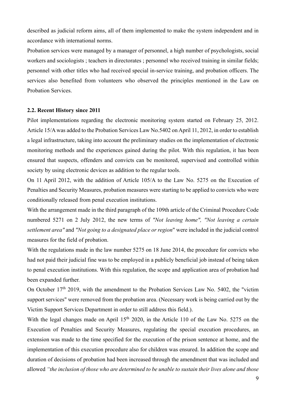described as judicial reform aims, all of them implemented to make the system independent and in accordance with international norms.

Probation services were managed by a manager of personnel, a high number of psychologists, social workers and sociologists ; teachers in directorates ; personnel who received training in similar fields; personnel with other titles who had received special in-service training, and probation officers. The services also benefited from volunteers who observed the principles mentioned in the Law on Probation Services.

#### **2.2. Recent History since 2011**

Pilot implementations regarding the electronic monitoring system started on February 25, 2012. Article 15/A was added to the Probation Services Law No.5402 on April 11, 2012, in order to establish a legal infrastructure, taking into account the preliminary studies on the implementation of electronic monitoring methods and the experiences gained during the pilot. With this regulation, it has been ensured that suspects, offenders and convicts can be monitored, supervised and controlled within society by using electronic devices as addition to the regular tools.

On 11 April 2012, with the addition of Article 105/A to the Law No. 5275 on the Execution of Penalties and Security Measures, probation measures were starting to be applied to convicts who were conditionally released from penal execution institutions.

With the arrangement made in the third paragraph of the 109th article of the Criminal Procedure Code numbered 5271 on 2 July 2012, the new terms of *"Not leaving home", "Not leaving a certain settlement area"* and *"Not going to a designated place or region*" were included in the judicial control measures for the field of probation.

With the regulations made in the law number 5275 on 18 June 2014, the procedure for convicts who had not paid their judicial fine was to be employed in a publicly beneficial job instead of being taken to penal execution institutions. With this regulation, the scope and application area of probation had been expanded further.

On October  $17<sup>th</sup>$  2019, with the amendment to the Probation Services Law No. 5402, the "victim" support services" were removed from the probation area. (Necessary work is being carried out by the Victim Support Services Department in order to still address this field.).

With the legal changes made on April 15<sup>th</sup> 2020, in the Article 110 of the Law No. 5275 on the Execution of Penalties and Security Measures, regulating the special execution procedures, an extension was made to the time specified for the execution of the prison sentence at home, and the implementation of this execution procedure also for children was ensured. In addition the scope and duration of decisions of probation had been increased through the amendment that was included and allowed *"the inclusion of those who are determined to be unable to sustain their lives alone and those*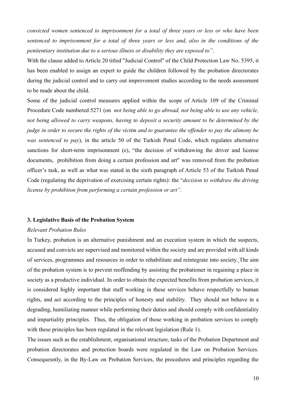*convicted women sentenced to imprisonment for a total of three years or less or who have been sentenced to imprisonment for a total of three years or less and, also in the conditions of the penitentiary institution due to a serious illness or disability they are exposed to"*.

With the clause added to Article 20 titled "Judicial Control" of the Child Protection Law No. 5395, it has been enabled to assign an expert to guide the children followed by the probation directorates during the judicial control and to carry out improvement studies according to the needs assessment to be made about the child.

Some of the judicial control measures applied within the scope of Article 109 of the Criminal Procedure Code numbered 5271 (on *not being able to go abroad, not being able to use any vehicle, not being allowed to carry weapons, having to deposit a security amount to be determined by the judge in order to secure the rights of the victim and to guarantee the offender to pay the alimony he was sentenced to pay*), in the article 50 of the Turkish Penal Code, which regulates alternative sanctions for short-term imprisonment (e), "the decision of withdrawing the driver and license documents, prohibition from doing a certain profession and art" was removed from the probation officer's task, as well as what was stated in the sixth paragraph of Article 53 of the Turkish Penal Code (regulating the deprivation of exercising certain rights): the "*decision to withdraw the driving license by prohibiton from performing a certain profession or art".*

#### **3. Legislative Basis of the Probation System**

# *Relevant Probation Rules*

In Turkey, probation is an alternative punishment and an execution system in which the suspects, accused and convicts are supervised and monitored within the society and are provided with all kinds of services, programmes and resources in order to rehabilitate and reintegrate into society. The aim of the probation system is to prevent reoffending by assisting the probationer in regaining a place in society as a productive individual. In order to obtain the expected benefits from probation services, it is considered highly important that staff working in these services behave respectfully to human rights, and act according to the principles of honesty and stability. They should not behave in a degrading, humiliating manner while performing their duties and should comply with confidentiality and impartiality principles. Thus, the obligation of those working in probation services to comply with these principles has been regulated in the relevant legislation (Rule 1).

The issues such as the establishment, organisational structure, tasks of the Probation Department and probation directorates and protection boards were regulated in the Law on Probation Services. Consequesntly, in the By-Law on Probation Services, the procedures and principles regarding the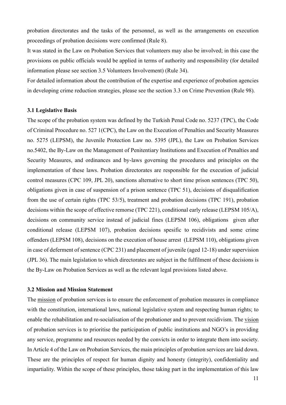probation directorates and the tasks of the personnel, as well as the arrangements on execution proceedings of probation decisions were confirmed (Rule 8).

It was stated in the Law on Probation Services that volunteers may also be involved; in this case the provisions on public officials would be applied in terms of authority and responsibility (for detailed information please see section 3.5 Volunteers Involvement) (Rule 34).

For detailed information about the contribution of the expertise and experience of probation agencies in developing crime reduction strategies, please see the section 3.3 on Crime Prevention (Rule 98).

#### **3.1 Legislative Basis**

The scope of the probation system was defined by the Turkish Penal Code no. 5237 (TPC), the Code of Criminal Procedure no. 527 1(CPC), the Law on the Execution of Penalties and Security Measures no. 5275 (LEPSM), the Juvenile Protection Law no. 5395 (JPL), the Law on Probation Services no.5402, the By-Law on the Management of Penitentiary Institutions and Execution of Penalties and Security Measures, and ordinances and by-laws governing the procedures and principles on the implementation of these laws. Probation directorates are responsible for the execution of judicial control measures (CPC 109, JPL 20), sanctions alternative to short time prison sentences (TPC 50), obligations given in case of suspension of a prison sentence (TPC 51), decisions of disqualification from the use of certain rights (TPC 53/5), treatment and probation decisions (TPC 191), probation decisions within the scope of effective remorse (TPC 221), conditional early release (LEPSM 105/A), decisions on community service instead of judicial fines (LEPSM 106), obligations given after conditional release (LEPSM 107), probation decisions spesific to recidivists and some crime offenders (LEPSM 108), decisions on the execution of house arrest (LEPSM 110), obligations given in case of deferment of sentence (CPC 231) and placement of juvenile (aged 12-18) under supervision (JPL 36). The main legislation to which directorates are subject in the fulfilment of these decisions is the By-Law on Probation Services as well as the relevant legal provisions listed above.

#### **3.2 Mission and Mission Statement**

The mission of probation services is to ensure the enforcement of probation measures in compliance with the constitution, international laws, national legislative system and respecting human rights; to enable the rehabilitation and re-socialisation of the probationer and to prevent recidivism. The vision of probation services is to prioritise the participation of public institutions and NGO's in providing any service, programme and resources needed by the convicts in order to integrate them into society. In Article 4 of the Law on Probation Services, the main principles of probation services are laid down. These are the principles of respect for human dignity and honesty (integrity), confidentiality and impartiality. Within the scope of these principles, those taking part in the implementation of this law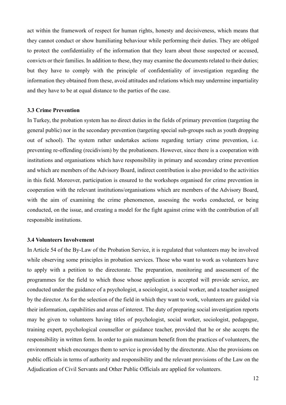act within the framework of respect for human rights, honesty and decisiveness, which means that they cannot conduct or show humiliating behaviour while performing their duties. They are obliged to protect the confidentiality of the information that they learn about those suspected or accused, convicts or their families. In addition to these, they may examine the documents related to their duties; but they have to comply with the principle of confidentiality of investigation regarding the information they obtained from these, avoid attitudes and relations which may undermine impartiality and they have to be at equal distance to the parties of the case.

# **3.3 Crime Prevention**

In Turkey, the probation system has no direct duties in the fields of primary prevention (targeting the general public) nor in the secondary prevention (targeting special sub-groups such as youth dropping out of school). The system rather undertakes actions regarding tertiary crime prevention, i.e. preventing re-offending (recidivism) by the probationers. However, since there is a cooperation with institutions and organisations which have responsibility in primary and secondary crime prevention and which are members of the Advisory Board, indirect contribution is also provided to the activities in this field. Moreover, participation is ensured to the workshops organised for crime prevention in cooperation with the relevant institutions/organisations which are members of the Advisory Board, with the aim of examining the crime phenomenon, assessing the works conducted, or being conducted, on the issue, and creating a model for the fight against crime with the contribution of all responsible institutions.

# **3.4 Volunteers Involvement**

In Article 54 of the By-Law of the Probation Service, it is regulated that volunteers may be involved while observing some principles in probation services. Those who want to work as volunteers have to apply with a petition to the directorate. The preparation, monitoring and assessment of the programmes for the field to which those whose application is accepted will provide service, are conducted under the guidance of a psychologist, a sociologist, a social worker, and a teacher assigned by the director. As for the selection of the field in which they want to work, volunteers are guided via their information, capabilities and areas of interest. The duty of preparing social investigation reports may be given to volunteers having titles of psychologist, social worker, sociologist, pedagogue, training expert, psychological counsellor or guidance teacher, provided that he or she accepts the responsibility in written form. In order to gain maximum benefit from the practices of volunteers, the environment which encourages them to service is provided by the directorate. Also the provisions on public officials in terms of authority and responsibility and the relevant provisions of the Law on the Adjudication of Civil Servants and Other Public Officials are applied for volunteers.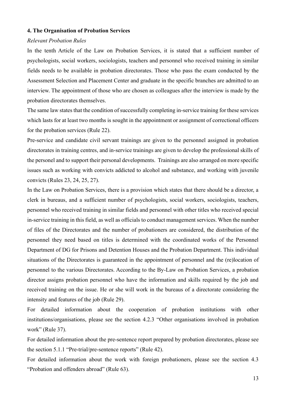#### **4. The Organisation of Probation Services**

# *Relevant Probation Rules*

In the tenth Article of the Law on Probation Services, it is stated that a sufficient number of psychologists, social workers, sociologists, teachers and personnel who received training in similar fields needs to be available in probation directorates. Those who pass the exam conducted by the Assessment Selection and Placement Center and graduate in the specific branches are admitted to an interview. The appointment of those who are chosen as colleagues after the interview is made by the probation directorates themselves.

The same law states that the condition of successfully completing in-service training for these services which lasts for at least two months is sought in the appointment or assignment of correctional officers for the probation services (Rule 22).

Pre-service and candidate civil servant trainings are given to the personnel assigned in probation directorates in training centres, and in-service trainings are given to develop the professional skills of the personel and to support their personal developments. Trainings are also arranged on more specific issues such as working with convicts addicted to alcohol and substance, and working with juvenile convicts (Rules 23, 24, 25, 27).

In the Law on Probation Services, there is a provision which states that there should be a director, a clerk in bureaus, and a sufficient number of psychologists, social workers, sociologists, teachers, personnel who received training in similar fields and personnel with other titles who received special in-service training in this field, as well as officials to conduct management services. When the number of files of the Directorates and the number of probationers are considered, the distribution of the personnel they need based on titles is determined with the coordinated works of the Personnel Department of DG for Prisons and Detention Houses and the Probation Department. This individual situations of the Directorates is guaranteed in the appointment of personnel and the (re)location of personnel to the various Directorates. According to the By-Law on Probation Services, a probation director assigns probation personnel who have the information and skills required by the job and received training on the issue. He or she will work in the bureaus of a directorate considering the intensity and features of the job (Rule 29).

For detailed information about the cooperation of probation institutions with other institutions/organisations, please see the section 4.2.3 "Other organisations involved in probation work" (Rule 37).

For detailed information about the pre-sentence report prepared by probation directorates, please see the section 5.1.1 "Pre-trial/pre-sentence reports" (Rule 42).

For detailed information about the work with foreign probationers, please see the section 4.3 "Probation and offenders abroad" (Rule 63).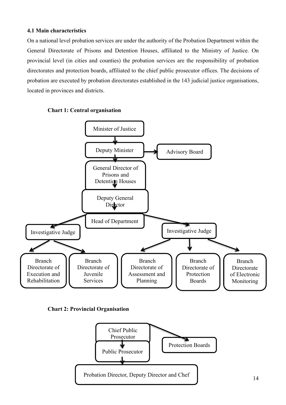# **4.1 Main characteristics**

On a national level probation services are under the authority of the Probation Department within the General Directorate of Prisons and Detention Houses, affiliated to the Ministry of Justice. On provincial level (in cities and counties) the probation services are the responsibility of probation directorates and protection boards, affiliated to the chief public prosecutor offices. The decisions of probation are executed by probation directorates established in the 143 judicial justice organisations, located in provinces and districts.





**Chart 2: Provincial Organisation** 

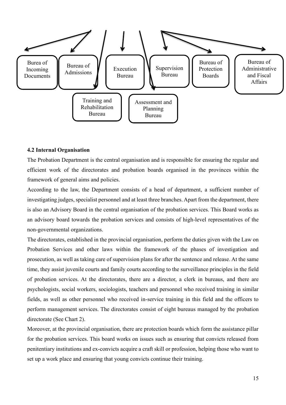

# **4.2 Internal Organisation**

The Probation Department is the central organisation and is responsible for ensuring the regular and efficient work of the directorates and probation boards organised in the provinces within the framework of general aims and policies.

According to the law, the Department consists of a head of department, a sufficient number of investigating judges, specialist personnel and at least three branches. Apart from the department, there is also an Advisory Board in the central organisation of the probation services. This Board works as an advisory board towards the probation services and consists of high-level representatives of the non-governmental organizations.

The directorates, established in the provincial organisation, perform the duties given with the Law on Probation Services and other laws within the framework of the phases of investigation and prosecution, as well as taking care of supervision plans for after the sentence and release. At the same time, they assist juvenile courts and family courts according to the surveillance principles in the field of probation services. At the directorates, there are a director, a clerk in bureaus, and there are psychologists, social workers, sociologists, teachers and personnel who received training in similar fields, as well as other personnel who received in-service training in this field and the officers to perform management services. The directorates consist of eight bureaus managed by the probation directorate (See Chart 2).

Moreover, at the provincial organisation, there are protection boards which form the assistance pillar for the probation services. This board works on issues such as ensuring that convicts released from penitentiary institutions and ex-convicts acquire a craft skill or profession, helping those who want to set up a work place and ensuring that young convicts continue their training.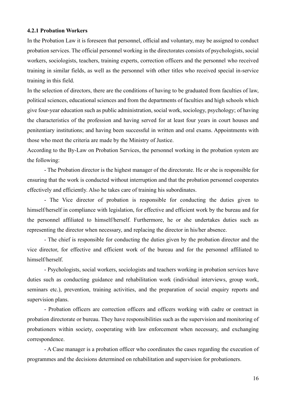#### **4.2.1 Probation Workers**

In the Probation Law it is foreseen that personnel, official and voluntary, may be assigned to conduct probation services. The official personnel working in the directorates consists of psychologists, social workers, sociologists, teachers, training experts, correction officers and the personnel who received training in similar fields, as well as the personnel with other titles who received special in-service training in this field.

In the selection of directors, there are the conditions of having to be graduated from faculties of law, political sciences, educational sciences and from the departments of faculties and high schools which give four-year education such as public administration, social work, sociology, psychology; of having the characteristics of the profession and having served for at least four years in court houses and penitentiary institutions; and having been successful in written and oral exams. Appointments with those who meet the criteria are made by the Ministry of Justice.

According to the By-Law on Probation Services, the personnel working in the probation system are the following:

- The Probation director is the highest manager of the directorate. He or she is responsible for ensuring that the work is conducted without interruption and that the probation personnel cooperates effectively and efficiently. Also he takes care of training his subordinates.

- The Vice director of probation is responsible for conducting the duties given to himself/herself in compliance with legislation, for effective and efficient work by the bureau and for the personnel affiliated to himself/herself. Furthermore, he or she undertakes duties such as representing the director when necessary, and replacing the director in his/her absence.

- The chief is responsible for conducting the duties given by the probation director and the vice director, for effective and efficient work of the bureau and for the personnel affiliated to himself/herself.

- Psychologists, social workers, sociologists and teachers working in probation services have duties such as conducting guidance and rehabilitation work (individual interviews, group work, seminars etc.), prevention, training activities, and the preparation of social enquiry reports and supervision plans.

- Probation officers are correction officers and officers working with cadre or contract in probation directorate or bureau. They have responsibilities such as the supervision and monitoring of probationers within society, cooperating with law enforcement when necessary, and exchanging correspondence.

- A Case manager is a probation officer who coordinates the cases regarding the execution of programmes and the decisions determined on rehabilitation and supervision for probationers.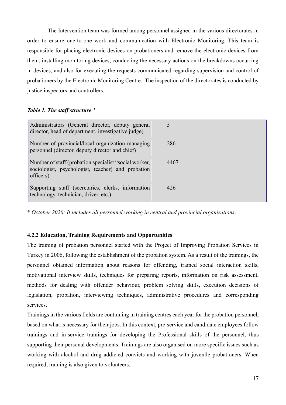- The Intervention team was formed among personnel assigned in the various directorates in order to ensure one-to-one work and communication with Electronic Monitoring. This team is responsible for placing electronic devices on probationers and remove the electronic devices from them, installing monitoring devices, conducting the necessary actions on the breakdowns occurring in devices, and also for executing the requests communicated regarding supervision and control of probationers by the Electronic Monitoring Centre. The inspection of the directorates is conducted by justice inspectors and controllers.

# *Table 1. The staff structure \**

| Administrators (General director, deputy general<br>director, head of department, investigative judge)                  |      |
|-------------------------------------------------------------------------------------------------------------------------|------|
| Number of provincial/local organization managing<br>personnel (director, deputy director and chief)                     | 286  |
| Number of staff (probation specialist "social worker,<br>sociologist, psychologist, teacher) and probation<br>officers) | 4467 |
| Supporting staff (secretaries, clerks, information)<br>technology, technician, driver, etc.)                            | 426  |

\* *October 2020; It includes all personnel working in central and provincial organizations*.

# **4.2.2 Education, Training Requirements and Opportunities**

The training of probation personnel started with the Project of Improving Probation Services in Turkey in 2006, following the establishment of the probation system. As a result of the trainings, the personnel obtained information about reasons for offending, trained social interaction skills, motivational interview skills, techniques for preparing reports, information on risk assessment, methods for dealing with offender behaviour, problem solving skills, execution decisions of legislation, probation, interviewing techniques, administrative procedures and corresponding services.

Trainings in the various fields are continuing in training centres each year for the probation personnel, based on what is necessary for their jobs. In this context, pre-service and candidate employees follow trainings and in-service trainings for developing the Professional skills of the personnel, thus supporting their personal developments. Trainings are also organised on more specific issues such as working with alcohol and drug addicted convicts and working with juvenile probationers. When required, training is also given to volunteers.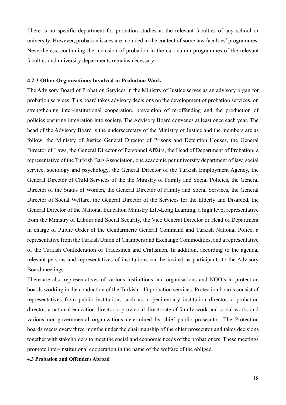There is no specific department for probation studies at the relevant faculties of any school or university. However, probation issues are included in the content of some law faculties' programmes. Nevertheless, continuing the inclusion of probation in the curriculum programmes of the relevant faculties and university departments remains necessary.

#### **4.2.3 Other Organisations Involved in Probation Work**

The Advisory Board of Probation Services in the Ministry of Justice serves as an advisory organ for probation services. This board takes advisory decisions on the development of probation services, on strengthening inter-institutional cooperation, prevention of re-offending and the production of policies ensuring integration into society. The Advisory Board convenes at least once each year. The head of the Advisory Board is the undersecretary of the Ministry of Justice and the members are as follow: the Ministry of Justice General Director of Prisons and Detention Houses, the General Director of Laws, the General Director of Personnel Affairs, the Head of Department of Probation; a representative of the Turkish Bars Association, one academic per university department of law, social service, sociology and psychology, the General Director of the Turkish Employment Agency, the General Director of Child Services of the the Ministry of Family and Social Policies, the General Director of the Status of Women, the General Director of Family and Social Services, the General Director of Social Welfare, the General Director of the Services for the Elderly and Disabled, the General Director of the National Education Ministry Life-Long Learning, a high level representative from the Ministry of Labour and Social Security, the Vice General Director or Head of Department in charge of Public Order of the Gendarmerie General Command and Turkish National Police, a representative from the Turkish Union of Chambers and Exchange Commodities, and a representative of the Turkish Confederation of Tradesmen and Craftsmen. In addition, according to the agenda, relevant persons and representatives of institutions can be invited as participants to the Advisory Board meetings.

There are also representatives of various institutions and organisations and NGO's in protection boards working in the conduction of the Turkish 143 probation services. Protection boards consist of representatives from public institutions such as: a penitentiary institution director, a probation director, a national education director, a provincial directorate of family work and social works and various non-governmental organizations determined by chief public prosecutor. The Protection boards meets every three months under the chairmanship of the chief prosecutor and takes decisions together with stakeholders to meet the social and economic needs of the probationers. These meetings promote inter-institutional cooperation in the name of the welfare of the obliged.

**4.3 Probation and Offenders Abroad**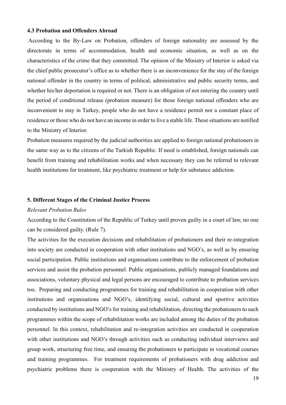#### **4.3 Probation and Offenders Abroad**

According to the By-Law on Probation, offenders of foreign nationality are assessed by the directorate in terms of accommodation, health and economic situation, as well as on the characteristics of the crime that they committed. The opinion of the Ministry of Interior is asked via the chief public prosecutor's office as to whether there is an inconvenience for the stay of the foreign national offender in the country in terms of political, administrative and public security terms, and whether his/her deportation is required or not. There is an obligation of not entering the country until the period of conditional release (probation measure) for those foreign national offenders who are inconvenient to stay in Turkey, people who do not have a residence permit nor a constant place of residence or those who do not have an income in order to live a stable life. These situations are notified to the Ministry of Interior.

Probation measures required by the judicial authorities are applied to foreign national probationers in the same way as to the citizens of the Turkish Republic. If need is established, foreign nationals can benefit from training and rehabilitation works and when necessary they can be referred to relevant health institutions for treatment, like psychiatric treatment or help for substance addiction.

#### **5. Different Stages of the Criminal Justice Process**

# *Relevant Probation Rules*

According to the Constitution of the Republic of Turkey until proven guilty in a court of law, no one can be considered guilty. (Rule 7).

The activities for the execution decisions and rehabilitation of probationers and their re-integration into society are conducted in cooperation with other institutions and NGO's, as well as by ensuring social participation. Public institutions and organisations contribute to the enforcement of probation services and assist the probation personnel. Public organisations, publicly managed foundations and associations, voluntary physical and legal persons are encouraged to contribute to probation services too. Preparing and conducting programmes for training and rehabilitation in cooperation with other institutions and organisations and NGO's, identifying social, cultural and sportive activities conducted by institutions and NGO's for training and rehabilitation, directing the probationers to such programmes within the scope of rehabilitation works are included among the duties of the probation personnel. In this context, rehabilitation and re-integration activities are conducted in cooperation with other institutions and NGO's through activities such as conducting individual interviews and group work, structuring free time, and ensuring the probationers to participate in vocational courses and training programmes. For treatment requirements of probationers with drug addiction and psychiatric problems there is cooperation with the Ministry of Health. The activities of the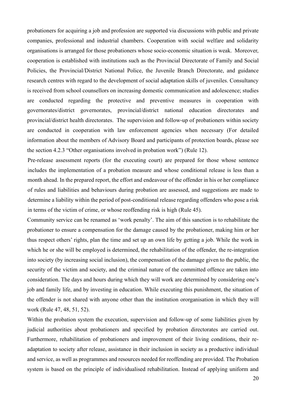probationers for acquiring a job and profession are supported via discussions with public and private companies, professional and industrial chambers. Cooperation with social welfare and solidarity organisations is arranged for those probationers whose socio-economic situation is weak. Moreover, cooperation is established with institutions such as the Provincial Directorate of Family and Social Policies, the Provincial/District National Police, the Juvenile Branch Directorate, and guidance research centres with regard to the development of social adaptation skills of juveniles. Consultancy is received from school counsellors on increasing domestic communication and adolescence; studies are conducted regarding the protective and preventive measures in cooperation with governorates/district governorates, provincial/district national education directorates and provincial/district health directorates. The supervision and follow-up of probationers within society are conducted in cooperation with law enforcement agencies when necessary (For detailed information about the members of Advisory Board and participants of protection boards, please see the section 4.2.3 "Other organisations involved in probation work") (Rule 12).

Pre-release assessment reports (for the executing court) are prepared for those whose sentence includes the implementation of a probation measure and whose conditional release is less than a month ahead. In the prepared report, the effort and endeavour of the offender in his or her compliance of rules and liabilities and behaviours during probation are assessed, and suggestions are made to determine a liability within the period of post-conditional release regarding offenders who pose a risk in terms of the victim of crime, or whose reoffending risk is high (Rule 45).

Community service can be renamed as 'work penalty'. The aim of this sanction is to rehabilitate the probationer to ensure a compensation for the damage caused by the probationer, making him or her thus respect others' rights, plan the time and set up an own life by getting a job. While the work in which he or she will be employed is determined, the rehabilitation of the offender, the re-integration into society (by increasing social inclusion), the compensation of the damage given to the public, the security of the victim and society, and the criminal nature of the committed offence are taken into consideration. The days and hours during which they will work are determined by considering one's job and family life, and by investing in education. While executing this punishment, the situation of the offender is not shared with anyone other than the institution ororganisation in which they will work (Rule 47, 48, 51, 52).

Within the probation system the execution, supervision and follow-up of some liabilities given by judicial authorities about probationers and specified by probation directorates are carried out. Furthermore, rehabilitation of probationers and improvement of their living conditions, their readaptation to society after release, assistance in their inclusion in society as a productive individual and service, as well as programmes and resources needed for reoffending are provided. The Probation system is based on the principle of individualised rehabilitation. Instead of applying uniform and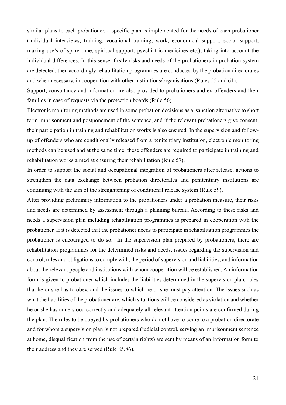similar plans to each probationer, a specific plan is implemented for the needs of each probationer (individual interviews, training, vocational training, work, economical support, social support, making use's of spare time, spiritual support, psychiatric medicines etc.), taking into account the individual differences. In this sense, firstly risks and needs of the probationers in probation system are detected; then accordingly rehabilitation programmes are conducted by the probation directorates and when necessary, in cooperation with other institutions/organisations (Rules 55 and 61).

Support, consultancy and information are also provided to probationers and ex-offenders and their families in case of requests via the protection boards (Rule 56).

Electronic monitoring methods are used in some probation decisions as a sanction alternative to short term imprisonment and postponement of the sentence, and if the relevant probationers give consent, their participation in training and rehabilitation works is also ensured. In the supervision and followup of offenders who are conditionally released from a penitentiary institution, electronic monitoring methods can be used and at the same time, these offenders are required to participate in training and rehabilitation works aimed at ensuring their rehabilitation (Rule 57).

In order to support the social and occupational integration of probationers after release, actions to strengthen the data exchange between probation directorates and penitentiary institutions are continuing with the aim of the strenghtening of conditional release system (Rule 59).

After providing preliminary information to the probationers under a probation measure, their risks and needs are determined by assessment through a planning bureau. According to these risks and needs a supervision plan including rehabilitation programmes is prepared in cooperation with the probationer. If it is detected that the probationer needs to participate in rehabilitation programmes the probationer is encouraged to do so. In the supervision plan prepared by probationers, there are rehabilitation programmes for the determined risks and needs, issues regarding the supervision and control, rules and obligations to comply with, the period of supervision and liabilities, and information about the relevant people and institutions with whom cooperation will be established. An information form is given to probationer which includes the liabilities determined in the supervision plan, rules that he or she has to obey, and the issues to which he or she must pay attention. The issues such as what the liabilities of the probationer are, which situations will be considered as violation and whether he or she has understood correctly and adequately all relevant attention points are confirmed during the plan. The rules to be obeyed by probationers who do not have to come to a probation directorate and for whom a supervision plan is not prepared (judicial control, serving an imprisonment sentence at home, disqualification from the use of certain rights) are sent by means of an information form to their address and they are served (Rule 85,86).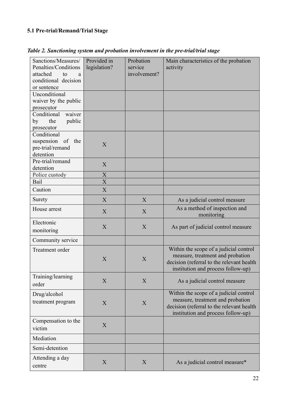# **5.1 Pre-trial/Remand/Trial Stage**

| Sanctions/Measures/<br>Penalties/Conditions<br>attached<br>to<br>a<br>conditional decision<br>or sentence | Provided in<br>legislation? | Probation<br>service<br>involvement? | Main characteristics of the probation<br>activity                                                                                                             |
|-----------------------------------------------------------------------------------------------------------|-----------------------------|--------------------------------------|---------------------------------------------------------------------------------------------------------------------------------------------------------------|
| Unconditional<br>waiver by the public<br>prosecutor                                                       |                             |                                      |                                                                                                                                                               |
| Conditional<br>waiver<br>the<br>public<br>by<br>prosecutor                                                |                             |                                      |                                                                                                                                                               |
| Conditional<br>suspension<br>of the<br>pre-trial/remand<br>detention                                      | X                           |                                      |                                                                                                                                                               |
| Pre-trial/remand<br>detention                                                                             | X                           |                                      |                                                                                                                                                               |
| Police custody                                                                                            | $\boldsymbol{\mathrm{X}}$   |                                      |                                                                                                                                                               |
| Bail                                                                                                      | $\overline{X}$              |                                      |                                                                                                                                                               |
| Caution                                                                                                   | X                           |                                      |                                                                                                                                                               |
| Surety                                                                                                    | X                           | X                                    | As a judicial control measure                                                                                                                                 |
| House arrest                                                                                              | X                           | X                                    | As a method of inspection and<br>monitoring                                                                                                                   |
| Electronic<br>monitoring                                                                                  | X                           | X                                    | As part of judicial control measure                                                                                                                           |
| Community service                                                                                         |                             |                                      |                                                                                                                                                               |
| Treatment order                                                                                           | X                           | X                                    | Within the scope of a judicial control<br>measure, treatment and probation<br>decision (referral to the relevant health<br>institution and process follow-up) |
| Training/learning<br>order                                                                                | X                           | X                                    | As a judicial control measure                                                                                                                                 |
| Drug/alcohol<br>treatment program                                                                         | X                           | X                                    | Within the scope of a judicial control<br>measure, treatment and probation<br>decision (referral to the relevant health<br>institution and process follow-up) |
| Compensation to the<br>victim                                                                             | X                           |                                      |                                                                                                                                                               |
| Mediation                                                                                                 |                             |                                      |                                                                                                                                                               |
| Semi-detention                                                                                            |                             |                                      |                                                                                                                                                               |
| Attending a day<br>centre                                                                                 | X                           | X                                    | As a judicial control measure*                                                                                                                                |

*Table 2. Sanctioning system and probation involvement in the pre-trial/trial stage*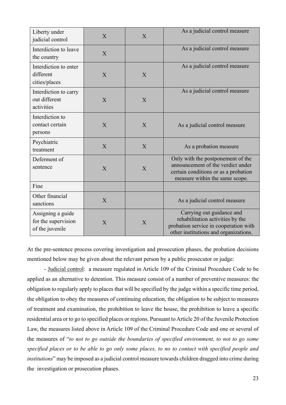| Liberty under<br>judicial control                           | $\overline{X}$ | $\overline{X}$ | As a judicial control measure                                                                                                                    |
|-------------------------------------------------------------|----------------|----------------|--------------------------------------------------------------------------------------------------------------------------------------------------|
| Interdiction to leave<br>the country                        | X              |                | As a judicial control measure                                                                                                                    |
| Interdiction to enter<br>different<br>cities/places         | X              | X              | As a judicial control measure                                                                                                                    |
| Interdiction to carry<br>out different<br>activities        | X              | X              | As a judicial control measure                                                                                                                    |
| Interdiction to<br>contact certain<br>persons               | X              | X              | As a judicial control measure                                                                                                                    |
| Psychiatric<br>treatment                                    | X              | X              | As a probation measure                                                                                                                           |
| Deferment of<br>sentence                                    | X              | $\overline{X}$ | Only with the postponement of the<br>announcement of the verdict under<br>certain conditions or as a probation<br>measure within the same scope. |
| Fine                                                        |                |                |                                                                                                                                                  |
| Other financial<br>sanctions                                | X              |                | As a judicial control measure                                                                                                                    |
| Assigning a guide<br>for the supervision<br>of the juvenile | X              | X              | Carrying out guidance and<br>rehabilitation activities by the<br>probation service in cooperation with<br>other institutions and organizations.  |

At the pre-sentence process covering investigation and prosecution phases, the probation decisions mentioned below may be given about the relevant person by a public prosecutor or judge:

- Judicial control: a measure regulated in Article 109 of the Criminal Procedure Code to be applied as an alternative to detention. This measure consist of a number of preventive measures: the obligation to regularly apply to places that will be specified by the judge within a specific time period, the obligation to obey the measures of continuing education, the obligation to be subject to measures of treatment and examination, the prohibition to leave the house, the prohibition to leave a specific residential area or to go to specified places or regions. Pursuant to Article 20 of the Juvenile Protection Law, the measures listed above in Article 109 of the Criminal Procedure Code and one or several of the measures of "*to not to go outside the boundaries of specified environment, to not to go some specified places or to be able to go only some places, to no to contact with specified people and institutions*" may be imposed as a judicial control measure towards children dragged into crime during the investigation or prosecution phases.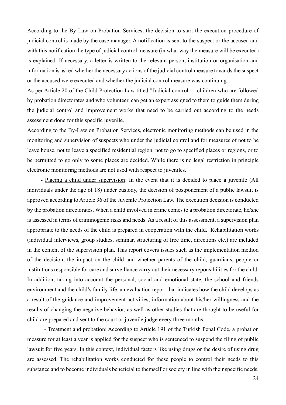According to the By-Law on Probation Services, the decision to start the execution procedure of judicial control is made by the case manager. A notification is sent to the suspect or the accused and with this notification the type of judicial control measure (in what way the measure will be executed) is explained. If necessary, a letter is written to the relevant person, institution or organisation and information is asked whether the necessary actions of the judicial control measure towards the suspect or the accused were executed and whether the judicial control measure was continuing.

As per Article 20 of the Child Protection Law titled "Judicial control" – children who are followed by probation directorates and who volunteer, can get an expert assigned to them to guide them during the judicial control and improvement works that need to be carried out according to the needs assessment done for this specific juvenile.

According to the By-Law on Probation Services, electronic monitoring methods can be used in the monitoring and supervision of suspects who under the judicial control and for measures of not to be leave house, not to leave a specified residential region, not to go to specified places or regions, or to be permitted to go only to some places are decided. While there is no legal restriction in principle electronic monitoring methods are not used with respect to juveniles.

- Placing a child under supervision: In the event that it is decided to place a juvenile (All individuals under the age of 18) under custody, the decision of postponement of a public lawsuit is approved according to Article 36 of the Juvenile Protection Law. The execution decision is conducted by the probation directorates. When a child involved in crime comes to a probation directorate, he/she is assessed in terms of criminogenic risks and needs. As a result of this assessment, a supervision plan appropriate to the needs of the child is prepared in cooperation with the child. Rehabilitation works (individual interviews, group studies, seminar, structuring of free time, directions etc.) are included in the content of the supervision plan. This report covers issues such as the implementation method of the decision, the impact on the child and whether parents of the child, guardians, people or institutions responsible for care and surveillance carry out their necessary reponsibilities for the child. In addition, taking into account the personal, social and emotional state, the school and friends environment and the child's family life, an evaluation report that indicates how the child develops as a result of the guidance and improvement activities, information about his/her willingness and the results of changing the negative behavior, as well as other studies that are thought to be useful for child are prepared and sent to the court or juvenile judge every three months.

- Treatment and probation: According to Article 191 of the Turkish Penal Code, a probation measure for at least a year is applied for the suspect who is sentenced to suspend the filing of public lawsuit for five years. In this context, individual factors like using drugs or the desire of using drug are assessed. The rehabilitation works conducted for these people to control their needs to this substance and to become individuals beneficial to themself or society in line with their specific needs,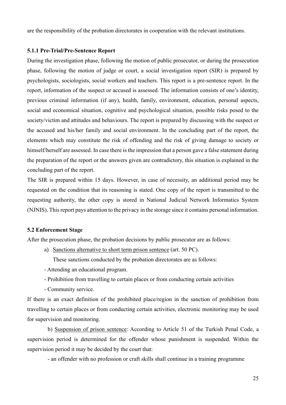are the responsibility of the probation directorates in cooperation with the relevant institutions.

# **5.1.1 Pre-Trial/Pre-Sentence Report**

During the investigation phase, following the motion of public prosecutor, or during the prosecution phase, following the motion of judge or court, a social investigation report (SIR) is prepared by psychologists, sociologists, social workers and teachers. This report is a pre-sentence report. In the report, information of the suspect or accused is assessed. The information consists of one's identity, previous criminal information (if any), health, family, environment, education, personal aspects, social and economical situation, cognitive and psychological situation, possible risks posed to the society/victim and attitudes and behaviours. The report is prepared by discussing with the suspect or the accused and his/her family and social environment. In the concluding part of the report, the elements which may constitute the risk of offending and the risk of giving damage to society or himself/herself are assessed. In case there is the impression that a person gave a false statement during the preparation of the report or the answers given are contradictory, this situation is explained in the concluding part of the report.

The SIR is prepared within 15 days. However, in case of necessity, an additional period may be requested on the condition that its reasoning is stated. One copy of the report is transmitted to the requesting authority, the other copy is stored in National Judicial Network Informatics System (NJNIS). This report pays attention to the privacy in the storage since it contains personal information.

# **5.2 Enforcement Stage**

After the prosecution phase, the probation decisions by public prosecutor are as follows:

a) Sanctions alternative to short term prison sentence (art. 50 PC).

These sanctions conducted by the probation directorates are as follows:

- Attending an educational program.
- Prohibition from travelling to certain places or from conducting certain activities
- Community service.

If there is an exact definition of the prohibited place/region in the sanction of prohibition from travelling to certain places or from conducting certain activities, electronic monitoring may be used for supervision and monitoring.

b) Suspension of prison sentence: According to Article 51 of the Turkish Penal Code, a supervision period is determined for the offender whose punishment is suspended. Within the supervision period it may be decided by the court that:

- an offender with no profession or craft skills shall continue in a training programme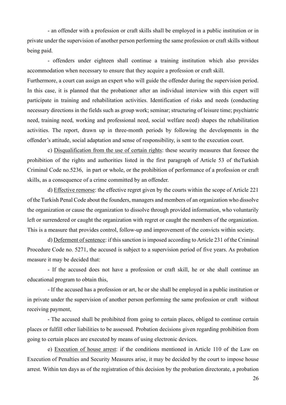- an offender with a profession or craft skills shall be employed in a public institution or in private under the supervision of another person performing the same profession or craft skills without being paid.

- offenders under eighteen shall continue a training institution which also provides accommodation when necessary to ensure that they acquire a profession or craft skill.

Furthermore, a court can assign an expert who will guide the offender during the supervision period. In this case, it is planned that the probationer after an individual interview with this expert will participate in training and rehabilitation activities. Identification of risks and needs (conducting necessary directions in the fields such as group work; seminar; structuring of leisure time; psychiatric need, training need, working and professional need, social welfare need) shapes the rehabilitation activities. The report, drawn up in three-month periods by following the developments in the offender's attitude, social adaptation and sense of responsibility, is sent to the execution court.

c) Disqualification from the use of certain rights: these security measures that foresee the prohibition of the rights and authorities listed in the first paragraph of Article 53 of theTurkish Criminal Code no.5236, in part or whole, or the prohibition of performance of a profession or craft skills, as a consequence of a crime committed by an offender.

d) Effective remorse: the effective regret given by the courts within the scope of Article 221 of the Turkish Penal Code about the founders, managers and members of an organization who dissolve the organization or cause the organization to dissolve through provided information, who voluntarily left or surrendered or caught the organization with regret or caught the members of the organization. This is a measure that provides control, follow-up and improvement of the convicts within society.

d) Deferment of sentence: if this sanction is imposed according to Article 231 of the Criminal Procedure Code no. 5271, the accused is subject to a supervision period of five years. As probation measure it may be decided that:

- If the accused does not have a profession or craft skill, he or she shall continue an educational program to obtain this,

- If the accused has a profession or art, he or she shall be employed in a public institution or in private under the supervision of another person performing the same profession or craft without receiving payment,

- The accused shall be prohibited from going to certain places, obliged to continue certain places or fulfill other liabilities to be assessed. Probation decisions given regarding prohibition from going to certain places are executed by means of using electronic devices.

e) Execution of house arrest: if the conditions mentioned in Article 110 of the Law on Execution of Penalties and Security Measures arise, it may be decided by the court to impose house arrest. Within ten days as of the registration of this decision by the probation directorate, a probation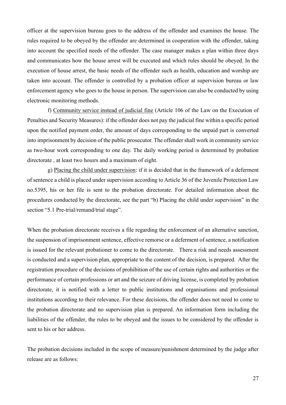officer at the supervision bureau goes to the address of the offender and examines the house. The rules required to be obeyed by the offender are determined in cooperation with the offender, taking into account the specified needs of the offender. The case manager makes a plan within three days and communicates how the house arrest will be executed and which rules should be obeyed. In the execution of house arrest, the basic needs of the offender such as health, education and worship are taken into account. The offender is controlled by a probation officer at supervision bureau or law enforcement agency who goes to the house in person. The supervision can also be conducted by using electronic monitoring methods.

f) Community service instead of judicial fine (Article 106 of the Law on the Execution of Penalties and Security Measures): if the offender does not pay the judicial fine within a specific period upon the notified payment order, the amount of days corresponding to the unpaid part is converted into imprisonment by decision of the public prosecutor. The offender shall work in community service as two-hour work corresponding to one day. The daily working period is determined by probation directorate , at least two houırs and a maximum of eight.

g) Placing the child under supervision: if it is decided that in the framework of a deferment of sentence a child is placed under supervision according to Article 36 of the Juvenile Protection Law no.5395, his or her file is sent to the probation directorate. For detailed information about the procedures conducted by the directorate, see the part "b) Placing the child under supervision" in the section "5.1 Pre-trial/remand/trial stage".

When the probation directorate receives a file regarding the enforcement of an alternative sanction, the suspension of imprisonment sentence, effective remorse or a deferment of sentence, a notification is issued for the relevant probationer to come to the directorate. There a risk and needs assessment is conducted and a supervision plan, appropriate to the content of the decision, is prepared. After the registration procedure of the decisions of prohibition of the use of certain rights and authorities or the performance of certain professions or art and the seizure of driving license, is completed by probation directorate, it is notified with a letter to public institutions and organisations and professional institutions according to their relevance. For these decisions, the offender does not need to come to the probation directorate and no supervision plan is prepared. An information form including the liabilities of the offender, the rules to be obeyed and the issues to be considered by the offender is sent to his or her address.

The probation decisions included in the scope of measure/punishment determined by the judge after release are as follows: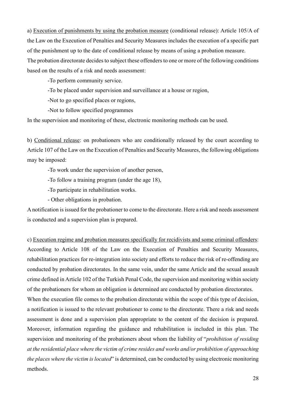a) Execution of punishments by using the probation measure (conditional release): Article 105/A of the Law on the Execution of Penalties and Security Measures includes the execution of a specific part of the punishment up to the date of conditional release by means of using a probation measure. The probation directorate decides to subject these offenders to one or more of the following conditions based on the results of a risk and needs assessment:

-To perform community service.

-To be placed under supervision and surveillance at a house or region,

-Not to go specified places or regions,

-Not to follow specified programmes

In the supervision and monitoring of these, electronic monitoring methods can be used.

b) Conditional release: on probationers who are conditionally released by the court according to Article 107 of the Law on the Execution of Penalties and Security Measures, the following obligations may be imposed:

-To work under the supervision of another person,

-To follow a training program (under the age 18),

-To participate in rehabilitation works.

- Other obligations in probation.

A notification is issued for the probationer to come to the directorate. Here a risk and needs assessment is conducted and a supervision plan is prepared.

c) Execution regime and probation measures specifically for recidivists and some criminal offenders: According to Article 108 of the Law on the Execution of Penalties and Security Measures, rehabilitation practices for re-integration into society and efforts to reduce the risk of re-offending are conducted by probation directorates. In the same vein, under the same Article and the sexual assault crime defined in Article 102 of the Turkish Penal Code, the supervision and monitoring within society of the probationers for whom an obligation is determined are conducted by probation directorates.

When the execution file comes to the probation directorate within the scope of this type of decision, a notification is issued to the relevant probationer to come to the directorate. There a risk and needs assessment is done and a supervision plan appropriate to the content of the decision is prepared. Moreover, information regarding the guidance and rehabilitation is included in this plan. The supervision and monitoring of the probationers about whom the liability of "*prohibition of residing at the residential place where the victim of crime resides and works and/or prohibition of approaching the places where the victim is located*" is determined, can be conducted by using electronic monitoring methods.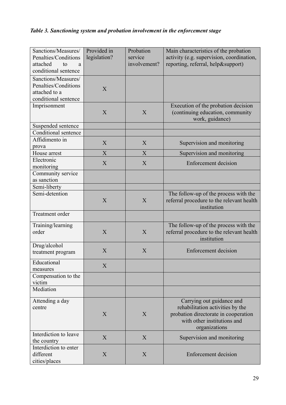# *Table 3. Sanctioning system and probation involvement in the enforcement stage*

| Sanctions/Measures/<br>Penalties/Conditions<br>attached<br>to<br>a<br>conditional sentence | Provided in<br>legislation? | Probation<br>service<br>involvement? | Main characteristics of the probation<br>activity (e.g. supervision, coordination,<br>reporting, referral, help&support)                              |
|--------------------------------------------------------------------------------------------|-----------------------------|--------------------------------------|-------------------------------------------------------------------------------------------------------------------------------------------------------|
| Sanctions/Measures/<br>Penalties/Conditions<br>attached to a<br>conditional sentence       | X                           |                                      |                                                                                                                                                       |
| Imprisonment                                                                               | X                           | X                                    | Execution of the probation decision<br>(continuing education, community<br>work, guidance)                                                            |
| Suspended sentence                                                                         |                             |                                      |                                                                                                                                                       |
| Conditional sentence<br>Affidimento in                                                     |                             |                                      |                                                                                                                                                       |
| prova                                                                                      | X                           | X                                    | Supervision and monitoring                                                                                                                            |
| House arrest                                                                               | X                           | X                                    | Supervision and monitoring                                                                                                                            |
| Electronic<br>monitoring                                                                   | X                           | X                                    | <b>Enforcement</b> decision                                                                                                                           |
| Community service<br>as sanction                                                           |                             |                                      |                                                                                                                                                       |
| Semi-liberty                                                                               |                             |                                      |                                                                                                                                                       |
| Semi-detention                                                                             | X                           | X                                    | The follow-up of the process with the<br>referral procedure to the relevant health<br>institution                                                     |
| Treatment order                                                                            |                             |                                      |                                                                                                                                                       |
| Training/learning<br>order                                                                 | X                           | X                                    | The follow-up of the process with the<br>referral procedure to the relevant health<br>institution                                                     |
| Drug/alcohol<br>treatment program                                                          | X                           | X                                    | Enforcement decision                                                                                                                                  |
| Educational<br>measures                                                                    | X                           |                                      |                                                                                                                                                       |
| Compensation to the<br>victim                                                              |                             |                                      |                                                                                                                                                       |
| Mediation                                                                                  |                             |                                      |                                                                                                                                                       |
| Attending a day<br>centre                                                                  | X                           | X                                    | Carrying out guidance and<br>rehabilitation activities by the<br>probation directorate in cooperation<br>with other institutions and<br>organizations |
| Interdiction to leave<br>the country                                                       | X                           | X                                    | Supervision and monitoring                                                                                                                            |
| Interdiction to enter<br>different<br>cities/places                                        | X                           | X                                    | Enforcement decision                                                                                                                                  |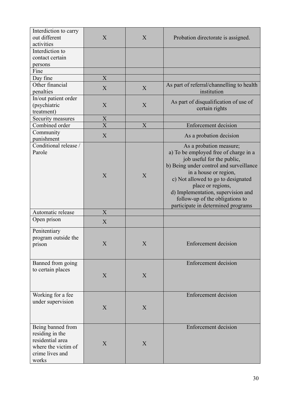| Interdiction to carry<br>out different<br>activities                                                        | X                         | X                         | Probation directorate is assigned.                                                                                                                                                                                                                                                                                                           |
|-------------------------------------------------------------------------------------------------------------|---------------------------|---------------------------|----------------------------------------------------------------------------------------------------------------------------------------------------------------------------------------------------------------------------------------------------------------------------------------------------------------------------------------------|
| Interdiction to<br>contact certain<br>persons                                                               |                           |                           |                                                                                                                                                                                                                                                                                                                                              |
| Fine                                                                                                        |                           |                           |                                                                                                                                                                                                                                                                                                                                              |
| Day fine                                                                                                    | $\overline{X}$            |                           |                                                                                                                                                                                                                                                                                                                                              |
| Other financial<br>penalties                                                                                | X                         | X                         | As part of referral/channelling to health<br>institution                                                                                                                                                                                                                                                                                     |
| In/out patient order<br>(psychiatric<br>treatment)                                                          | X                         | X                         | As part of disqualification of use of<br>certain rights                                                                                                                                                                                                                                                                                      |
| Security measures                                                                                           | $\boldsymbol{\mathrm{X}}$ |                           |                                                                                                                                                                                                                                                                                                                                              |
| Combined order                                                                                              | $\overline{X}$            | X                         | <b>Enforcement decision</b>                                                                                                                                                                                                                                                                                                                  |
| Community<br>punishment                                                                                     | X                         |                           | As a probation decision                                                                                                                                                                                                                                                                                                                      |
| Conditional release /<br>Parole                                                                             | X                         | X                         | As a probation measure;<br>a) To be employed free of charge in a<br>job useful for the public,<br>b) Being under control and surveillance<br>in a house or region,<br>c) Not allowed to go to designated<br>place or regions,<br>d) Implementation, supervision and<br>follow-up of the obligations to<br>participate in determined programs |
| Automatic release                                                                                           | X                         |                           |                                                                                                                                                                                                                                                                                                                                              |
| Open prison                                                                                                 | X                         |                           |                                                                                                                                                                                                                                                                                                                                              |
| Penitentiary<br>program outside the<br>prison                                                               | $\overline{X}$            | $\boldsymbol{\mathrm{X}}$ | <b>Enforcement decision</b>                                                                                                                                                                                                                                                                                                                  |
| Banned from going<br>to certain places                                                                      | X                         | X                         | <b>Enforcement decision</b>                                                                                                                                                                                                                                                                                                                  |
| Working for a fee<br>under supervision                                                                      | X                         | X                         | <b>Enforcement</b> decision                                                                                                                                                                                                                                                                                                                  |
| Being banned from<br>residing in the<br>residential area<br>where the victim of<br>crime lives and<br>works | X                         | X                         | <b>Enforcement decision</b>                                                                                                                                                                                                                                                                                                                  |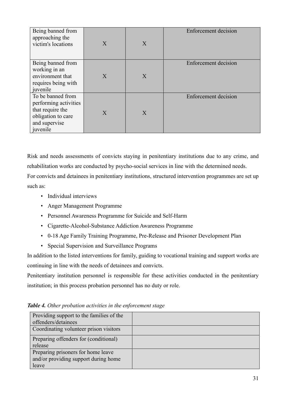| Being banned from<br>approaching the<br>victim's locations                                                        | $\boldsymbol{X}$ | $\boldsymbol{X}$ | <b>Enforcement decision</b> |
|-------------------------------------------------------------------------------------------------------------------|------------------|------------------|-----------------------------|
| Being banned from<br>working in an<br>environment that<br>requires being with<br>juvenile                         | $\boldsymbol{X}$ | X                | Enforcement decision        |
| To be banned from<br>performing activities<br>that require the<br>obligation to care<br>and supervise<br>juvenile | X                | X                | <b>Enforcement</b> decision |

Risk and needs assessments of convicts staying in penitentiary institutions due to any crime, and rehabilitation works are conducted by psycho-social services in line with the determined needs. For convicts and detainees in penitentiary institutions, structured intervention programmes are set up such as:

- Individual interviews
- Anger Management Programme
- Personnel Awareness Programme for Suicide and Self-Harm
- Cigarette-Alcohol-Substance Addiction Awareness Programme
- 0-18 Age Family Training Programme, Pre-Release and Prisoner Development Plan
- Special Supervision and Surveillance Programs

In addition to the listed interventions for family, guiding to vocational training and support works are continuing in line with the needs of detainees and convicts.

Penitentiary institution personnel is responsible for these activities conducted in the penitentiary institution; in this process probation personnel has no duty or role.

| Providing support to the families of the |  |
|------------------------------------------|--|
| offenders/detainees                      |  |
| Coordinating volunteer prison visitors   |  |
| Preparing offenders for (conditional)    |  |
| release                                  |  |
| Preparing prisoners for home leave       |  |
| and/or providing support during home     |  |
| leave                                    |  |

*Table 4. Other probation activities in the enforcement stage*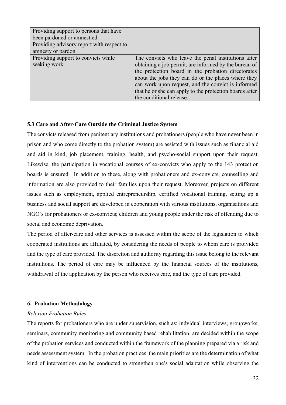| Providing support to persons that have<br>been pardoned or amnestied |                                                         |
|----------------------------------------------------------------------|---------------------------------------------------------|
| Providing advisory report with respect to                            |                                                         |
| amnesty or pardon                                                    |                                                         |
| Providing support to convicts while                                  | The convicts who leave the penal institutions after     |
| seeking work                                                         | obtaining a job permit, are informed by the bureau of   |
|                                                                      | the protection board in the probation directorates      |
|                                                                      | about the jobs they can do or the places where they     |
|                                                                      | can work upon request, and the convict is informed      |
|                                                                      | that he or she can apply to the protection boards after |
|                                                                      | the conditional release.                                |

# **5.3 Care and After-Care Outside the Criminal Justice System**

The convicts released from penitentiary institutions and probationers (people who have never been in prison and who come directly to the probation system) are assisted with issues such as financial aid and aid in kind, job placement, training, health, and psycho-social support upon their request. Likewise, the participation in vocational courses of ex-convicts who apply to the 143 protection boards is ensured. In addition to these, along with probationers and ex-convicts, counselling and information are also provided to their families upon their request. Moreover, projects on different issues such as employment, applied entrepreneurship, certified vocational training, setting up a business and social support are developed in cooperation with various institutions, organisations and NGO's for probationers or ex-convicts; children and young people under the risk of offending due to social and economic deprivation.

The period of after-care and other services is assessed within the scope of the legislation to which cooperated institutions are affiliated, by considering the needs of people to whom care is proıvided and the type of care provided. The discretion and authority regarding this issue belong to the relevant institutions. The period of care may be influenced by the financial sources of the institutions, withdrawal of the application by the person who receives care, and the type of care provided.

### **6. Probation Methodology**

# *Relevant Probation Rules*

The reports for probationers who are under supervision, such as: indvidual interviews, groupworks, seminars, community monitoring and community based rehabilitation, are decided within the scope of the probation services and conducted within the framework of the planning prepared via a risk and needs assessment system. In the probation practices the main priorities are the determination of what kind of interventions can be conducted to strengthen one's social adaptation while observing the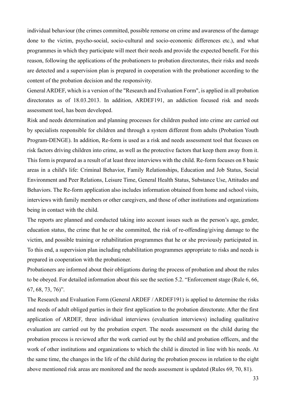individual behaviour (the crimes committed, possible remorse on crime and awareness of the damage done to the victim, psycho-social, socio-cultural and socio-economic differences etc.), and what programmes in which they participate will meet their needs and provide the expected benefit. For this reason, following the applications of the probationers to probation directorates, their risks and needs are detected and a supervision plan is prepared in cooperation with the probationer according to the content of the probation decision and the responsivity.

General ARDEF, which is a version of the "Research and Evaluation Form", is applied in all probation directorates as of 18.03.2013. In addition, ARDEF191, an addiction focused risk and needs assessment tool, has been developed.

Risk and needs determination and planning processes for children pushed into crime are carried out by specialists responsible for children and through a system different from adults (Probation Youth Program-DENGE). In addition, Re-form is used as a risk and needs assessment tool that focuses on risk factors driving children into crime, as well as the protective factors that keep them away from it. This form is prepared as a result of at least three interviews with the child. Re-form focuses on 8 basic areas in a child's life: Criminal Behavior, Family Relationships, Education and Job Status, Social Environment and Peer Relations, Leisure Time, General Health Status, Substance Use, Attitudes and Behaviors. The Re-form application also includes information obtained from home and school visits, interviews with family members or other caregivers, and those of other institutions and organizations being in contact with the child.

The reports are planned and conducted taking into account issues such as the person's age, gender, education status, the crime that he or she committed, the risk of re-offending/giving damage to the victim, and possible training or rehabilitation programmes that he or she previously participated in. To this end, a supervision plan including rehabilitation programmes appropriate to risks and needs is prepared in cooperation with the probationer.

Probationers are informed about their obligations during the process of probation and about the rules to be obeyed. For detailed information about this see the section 5.2. "Enforcement stage (Rule 6, 66, 67, 68, 73, 76)".

The Research and Evaluation Form (General ARDEF / ARDEF191) is applied to determine the risks and needs of adult obliged parties in their first application to the probation directorate. After the first application of ARDEF, three individual interviews (evaluation interviews) including qualitative evaluation are carried out by the probation expert. The needs assessment on the child during the probation process is reviewed after the work carried out by the child and probation officers, and the work of other institutions and organizations to which the child is directed in line with his needs. At the same time, the changes in the life of the child during the probation process in relation to the eight above mentioned risk areas are monitored and the needs assessment is updated (Rules 69, 70, 81).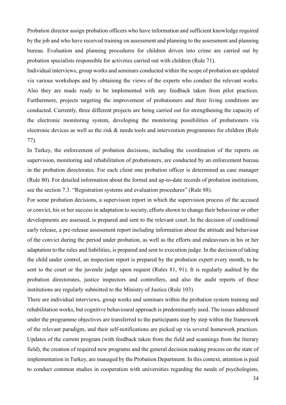Probation director assign probation officers who have information and sufficient knowledge required by the job and who have received training on assessment and planning to the assessment and planning bureau. Evaluation and planning procedures for children driven into crime are carried out by probation specialists responsible for activities carried out with children (Rule 71).

Individual interviews, group works and seminars conducted within the scope of probation are updated via various workshops and by obtaining the views of the experts who conduct the relevant works. Also they are made ready to be implemented with any feedback taken from pilot practices. Furthermore, projects targeting the improvement of probationers and their living conditions are conducted. Currently, three different projects are being carried out for strengthening the capacity of the electronic monitoring system, developing the monitoring possibilities of probationers via electronic devices as well as the risk & needs tools and intervention programmes for children (Rule 77).

In Turkey, the enforcement of probation decisions, including the coordination of the reports on supervision, monitoring and rehabilitation of probationers, are conducted by an enforcement bureau in the probation directorates. For each client one probation officer is determined as case manager (Rule 80). For detailed information about the formal and up-to-date records of probation institutions, see the section 7.3. "Registration systems and evaluation procedures" (Rule 88).

For some probation decisions, a supervision report in which the supervision process of the accused or convict, his or her success in adaptation to society, efforts shown to change their behaviour or other developments are assessed, is prepared and sent to the relevant court. In the decision of conditional early release, a pre-release assessment report including information about the attitude and behaviour of the convict during the period under probation, as well as the efforts and endeavours in his or her adaptation to the rules and liabilities, is prepared and sent to execution judge. In the decision of taking the child under control, an inspection report is prepared by the probation expert every month, to be sent to the court or the juvenile judge upon request (Rules 81, 91). It is regularly audited by the probation directorates, justice inspectors and controllers, and also the audit reports of these institutions are regularly submitted to the Ministry of Justice (Rule 103).

There are individual interviews, group works and seminars within the probation system training and rehabilitation works, but cognitive behavioural approach is predominantly used. The issues addressed under the programme objectives are transferred to the participants step by step within the framework of the relevant paradigm, and their self-notifications are picked up via several homework practices. Updates of the current program (with feedback taken from the field and scannings from the literary field), the creation of required new programs and the general decision making process on the state of implementation in Turkey, are managed by the Probation Department. In this context, attention is paid to conduct common studies in cooperation with universities regarding the needs of psychologists,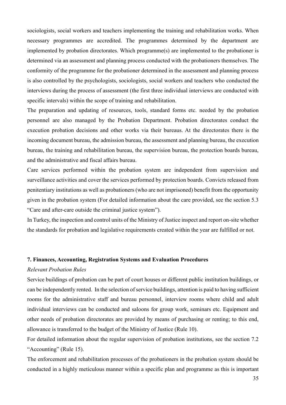sociologists, social workers and teachers implementing the training and rehabilitation works. When necessary programmes are accredited. The programmes determined by the department are implemented by probation directorates. Which programme(s) are implemented to the probationer is determined via an assessment and planning process conducted with the probationers themselves. The conformity of the programme for the probationer determined in the assessment and planning process is also controlled by the psychologists, sociologists, social workers and teachers who conducted the interviews during the process of assessment (the first three individual interviews are conducted with specific intervals) within the scope of training and rehabilitation.

The preparation and updating of resources, tools, standard forms etc. needed by the probation personnel are also managed by the Probation Department. Probation directorates conduct the execution probation decisions and other works via their bureaus. At the directorates there is the incoming document bureau, the admission bureau, the assessment and planning bureau, the execution bureau, the training and rehabilitation bureau, the supervision bureau, the protection boards bureau, and the administrative and fiscal affairs bureau.

Care services performed within the probation system are independent from supervision and surveillance activities and cover the services performed by protection boards. Convicts released from penitentiary institutions as well as probationers (who are not imprisoned) benefit from the opportunity given in the probation system (For detailed information about the care provided, see the section 5.3 "Care and after-care outside the criminal justice system").

In Turkey, the inspection and control units of the Ministry of Justice inspect and report on-site whether the standards for probation and legislative requirements created within the year are fulfilled or not.

#### **7. Finances, Accounting, Registration Systems and Evaluation Procedures**

#### *Relevant Probation Rules*

Service buildings of probation can be part of court houses or different public institution buildings, or can be independently rented. In the selection of service buildings, attention is paid to having sufficient rooms for the administrative staff and bureau personnel, interview rooms where child and adult individual interviews can be conducted and saloons for group work, seminars etc. Equipment and other needs of probation directorates are provided by means of purchasing or renting; to this end, allowance is transferred to the budget of the Ministry of Justice (Rule 10).

For detailed information about the regular supervision of probation institutions, see the section 7.2 "Accounting" (Rule 15).

The enforcement and rehabilitation processes of the probationers in the probation system should be conducted in a highly meticulous manner within a specific plan and programme as this is important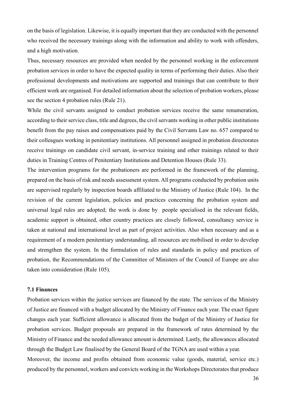on the basis of legislation. Likewise, it is equally important that they are conducted with the personnel who received the necessary trainings along with the information and ability to work with offenders, and a high motivation.

Thus, necessary resources are provided when needed by the personnel working in the enforcement probation services in order to have the expected quality in terms of performing their duties. Also their professional developments and motivations are supported and trainings that can contribute to their efficient work are organised. For detailed information about the selection of probation workers, please see the section 4 probation rules (Rule 21).

While the civil servants assigned to conduct probation services receive the same renumeration, according to their service class, title and degrees, the civil servants working in other public institutions benefit from the pay raises and compensations paid by the Civil Servants Law no. 657 compared to their colleagues working in penitentiary institutions. All personnel assigned in probation directorates receive trainings on candidate civil servant, in-service training and other trainings related to their duties in Training Centres of Penitentiary Institutions and Detention Houses (Rule 33).

The intervention programs for the probationers are performed in the framework of the planning, prepared on the basis of risk and needs assessment system. All programs conducted by probation units are supervised regularly by inspection boards affiliated to the Ministry of Justice (Rule 104). In the revision of the current legislation, policies and practices concerning the probation system and universal legal rules are adopted; the work is done by people specialised in the relevant fields, academic support is obtained, other country practices are closely followed, consultancy service is taken at national and international level as part of project activities. Also when necessary and as a requirement of a modern penitentiary understanding, all resources are mobilised in order to develop and strengthen the system. In the formulation of rules and standards in policy and practices of probation, the Recommendations of the Committee of Ministers of the Council of Europe are also taken into consideration (Rule 105).

## **7.1 Finances**

Probation services within the justice services are financed by the state. The services of the Ministry of Justice are financed with a budget allocated by the Ministry of Finance each year. The exact figure changes each year. Sufficient allowance is allocated from the budget of the Ministry of Justice for probation services. Budget proposals are prepared in the framework of rates determined by the Ministry of Finance and the needed allowance amount is determined. Lastly, the allowances allocated through the Budget Law finalised by the General Board of the TGNA are used within a year. Moreover, the income and profits obtained from economic value (goods, material, service etc.) produced by the personnel, workers and convicts working in the Workshops Directorates that produce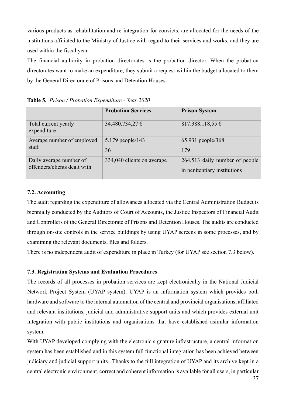various products as rehabilitation and re-integration for convicts, are allocated for the needs of the institutions affiliated to the Ministry of Justice with regard to their services and works, and they are used within the fiscal year.

The financial authority in probation directorates is the probation director. When the probation directorates want to make an expenditure, they submit a request within the budget allocated to them by the General Directorate of Prisons and Detention Houses.

|                                                         | <b>Probation Services</b>  | <b>Prison System</b>                                           |
|---------------------------------------------------------|----------------------------|----------------------------------------------------------------|
| Total current yearly<br>expenditure                     | 34.480.734,27 €            | 817.388.118,55 $\epsilon$                                      |
| Average number of employed<br>staff                     | 5.179 people/143<br>36     | 65.931 people/368<br>179                                       |
| Daily average number of<br>offenders/clients dealt with | 334,040 clients on average | 264,513 daily number of people<br>in penitentiary institutions |

**Table 5.** *Prison / Probation Expenditure - Year 2020*

# **7.2. Accounting**

The audit regarding the expenditure of allowances allocated via the Central Administration Budget is biennially conducted by the Auditors of Court of Accounts, the Justice Inspectors of Financial Audit and Controllers of the General Directorate of Prisons and Detention Houses. The audits are conducted through on-site controls in the service buildings by using UYAP screens in some processes, and by examining the relevant documents, files and folders.

There is no independent audit of expenditure in place in Turkey (for UYAP see section 7.3 below).

# **7.3. Registration Systems and Evaluation Procedures**

The records of all processes in probation services are kept electronically in the National Judicial Network Project System (UYAP system). UYAP is an information system which provides both hardware and software to the internal automation of the central and provincial organisations, affiliated and relevant institutions, judicial and administrative support units and which provides external unit integration with public institutions and organisations that have established asimilar information system.

With UYAP developed complying with the electronic signature infrastructure, a central information system has been established and in this system full functional integration has been achieved between judiciary and judicial support units. Thanks to the full integration of UYAP and its archive kept in a central electronic environment, correct and coherent information is available for all users, in particular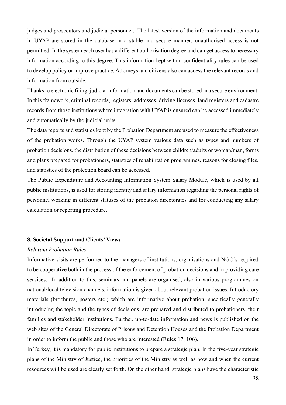judges and prosecutors and judicial personnel. The latest version of the information and documents in UYAP are stored in the database in a stable and secure manner; unauthorised access is not permitted. In the system each user has a different authorisation degree and can get access to necessary information according to this degree. This information kept within confidentiality rules can be used to develop policy or improve practice. Attorneys and citizens also can access the relevant records and information from outside.

Thanks to electronic filing, judicial information and documents can be stored in a secure environment. In this framework, criminal records, registers, addresses, driving licenses, land registers and cadastre records from those institutions where integration with UYAP is ensured can be accessed immediately and automatically by the judicial units.

The data reports and statistics kept by the Probation Department are used to measure the effectiveness of the probation works. Through the UYAP system various data such as types and numbers of probation decisions, the distribution of these decisions between children/adults or woman/man, forms and plans prepared for probationers, statistics of rehabilitation programmes, reasons for closing files, and statistics of the protection board can be accessed.

The Public Expenditure and Accounting Information System Salary Module, which is used by all public institutions, is used for storing identity and salary information regarding the personal rights of personnel working in different statuses of the probation directorates and for conducting any salary calculation or reporting procedure.

# **8. Societal Support and Clients' Views**

#### *Relevant Probation Rules*

Informative visits are performed to the managers of institutions, organisations and NGO's required to be cooperative both in the process of the enforcement of probation decisions and in providing care services. In addition to this, seminars and panels are organised, also in various programmes on national/local television channels, information is given about relevant probation issues. Introductory materials (brochures, posters etc.) which are informative about probation, specifically generally introducing the topic and the types of decisions, are prepared and distributed to probationers, their families and stakeholder institutions. Further, up-to-date information and news is published on the web sites of the General Directorate of Prisons and Detention Houses and the Probation Department in order to inform the public and those who are interested (Rules 17, 106).

In Turkey, it is mandatory for public institutions to prepare a strategic plan. In the five-year strategic plans of the Ministry of Justice, the priorities of the Ministry as well as how and when the current resources will be used are clearly set forth. On the other hand, strategic plans have the characteristic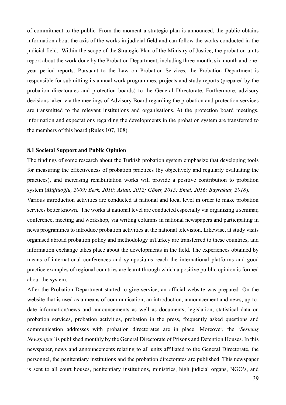of commitment to the public. From the moment a strategic plan is announced, the public obtains information about the axis of the works in judicial field and can follow the works conducted in the judicial field. Within the scope of the Strategic Plan of the Ministry of Justice, the probation units report about the work done by the Probation Department, including three-month, six-month and oneyear period reports. Pursuant to the Law on Probation Services, the Probation Department is responsible for submitting its annual work programmes, projects and study reports (prepared by the probation directorates and protection boards) to the General Directorate. Furthermore, advisory decisions taken via the meetings of Advisory Board regarding the probation and protection services are transmitted to the relevant institutions and organisations. At the protection board meetings, information and expectations regarding the developments in the probation system are transferred to the members of this board (Rules 107, 108).

## **8.1 Societal Support and Public Opinion**

The findings of some research about the Turkish probation system emphasize that developing tools for measuring the effectiveness of probation practices (by objectively and regularly evaluating the practices), and increasing rehabilitation works will provide a positive contribution to probation system (*Müftüoğlu, 2009; Berk, 2010; Aslan, 2012; Göker, 2015; Emel, 2016; Bayraktar, 2018*).

Various introduction activities are conducted at national and local level in order to make probation services better known. The works at national level are conducted especially via organizing a seminar, conference, meeting and workshop, via writing columns in national newspapers and participating in news programmes to introduce probation activities at the national television. Likewise, at study visits organised abroad probation policy and methodology inTurkey are transferred to these countries, and information exchange takes place about the developments in the field. The experiences obtained by means of international conferences and symposiums reach the international platforms and good practice examples of regional countries are learnt through which a positive puıblic opinion is formed about the system.

After the Probation Department started to give service, an official website was prepared. On the website that is used as a means of communication, an introduction, announcement and news, up-todate information/news and announcements as well as documents, legislation, statistical data on probation services, probation activities, probation in the press, frequently asked questions and communication addresses with probation directorates are in place. Moreover, the '*Sesleniş Newspaper*' is published monthly by the General Directorate of Prisons and Detention Houses. In this newspaper, news and announcements relating to all units affiliated to the General Directorate, the personnel, the penitentiary institutions and the probation directorates are published. This newspaper is sent to all court houses, penitentiary institutions, ministries, high judicial organs, NGO's, and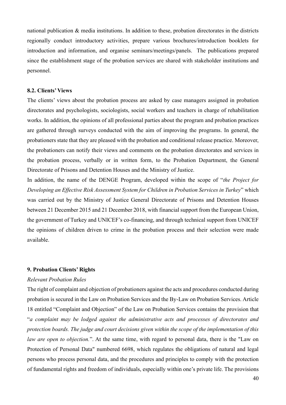national publication & media institutions. In addition to these, probation directorates in the districts regionally conduct introductory activities, prepare various brochures/introduction booklets for introduction and information, and organise seminars/meetings/panels. The publications prepared since the establishment stage of the probation services are shared with stakeholder institutions and personnel.

#### **8.2. Clients' Views**

The clients' views about the probation process are asked by case managers assigned in probation directorates and psychologists, sociologists, social workers and teachers in charge of rehabilitation works. In addition, the opinions of all professional parties about the program and probation practices are gathered through surveys conducted with the aim of improving the programs. In general, the probationers state that they are pleased with the probation and conditional release practice. Moreover, the probationers can notify their views and comments on the probation directorates and services in the probation process, verbally or in written form, to the Probation Department, the General Directorate of Prisons and Detention Houses and the Ministry of Justice.

In addition, the name of the DENGE Program, developed within the scope of "*the Project for Developing an Effective Risk Assessment System for Children in Probation Services in Turkey*" which was carried out by the Ministry of Justice General Directorate of Prisons and Detention Houses between 21 December 2015 and 21 December 2018, with financial support from the European Union, the government of Turkey and UNICEF's co-financing, and through technical support from UNICEF the opinions of children driven to crime in the probation process and their selection were made available.

#### **9. Probation Clients' Rights**

#### *Relevant Probation Rules*

The right of complaint and objection of probationers against the acts and procedures conducted during probation is secured in the Law on Probation Services and the By-Law on Probation Services. Article 18 entitled "Complaint and Objection" of the Law on Probation Services contains the provision that "*a complaint may be lodged against the administrative acts and processes of directorates and protection boards. The judge and court decisions given within the scope of the implementation of this law are open to objection.*". At the same time, with regard to personal data, there is the "Law on Protection of Personal Data" numbered 6698, which regulates the obligations of natural and legal persons who process personal data, and the procedures and principles to comply with the protection of fundamental rights and freedom of individuals, especially within one's private life. The provisions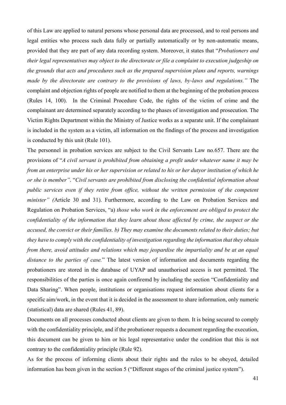of this Law are applied to natural persons whose personal data are processed, and to real persons and legal entities who process such data fully or partially automatically or by non-automatic means, provided that they are part of any data recording system. Moreover, it states that "*Probationers and their legal representatives may object to the directorate or file a complaint to execution judgeship on the grounds that acts and procedures such as the prepared supervision plans and reports, warnings made by the directorate are contrary to the provisions of laws, by-laws and regulations."* The complaint and objection rights of people are notified to them at the beginning of the probation process (Rules 14, 100). In the Criminal Procedure Code, the rights of the victim of crime and the complainant are determined separately according to the phases of investigation and prosecution. The Victim Rights Department within the Ministry of Justice works as a separate unit. If the complainant is included in the system as a victim, all information on the findings of the process and investigation is conducted by this unit (Rule 101).

The personnel in probation services are subject to the Civil Servants Law no.657. There are the provisions of "*A civil servant is prohibited from obtaining a profit under whatever name it may be from an enterprise under his or her supervision or related to his or her dutyor institution of which he or she is member"*. "*Civil servants are prohibited from disclosing the confidential information about public services even if they retire from office, without the written permission of the competent minister" (*Article 30 and 31). Furthermore, according to the Law on Probation Services and Regulation on Probation Services, "a) *those who work in the enforcement are obliged to protect the confidentiality of the information that they learn about those affected by crime, the suspect or the accused, the convict or their families. b) They may examine the documents related to their duties; but they have to comply with the confidentiality of investigation regarding the information that they obtain from there, avoid attitudes and relations which may jeopardise the impartiality and be at an equal distance to the parties of case.*" The latest version of information and documents regarding the probationers are stored in the database of UYAP and unauthorised access is not permitted. The responsibilities of the parties is once again confiremd by including the section "Confidentiality and Data Sharing". When people, institutions or organisations request information about clients for a specific aim/work, in the event that it is decided in the assessment to share information, only numeric (statistical) data are shared (Rules 41, 89).

Documents on all processes conducted about clients are given to them. It is being secured to comply with the confidentiality principle, and if the probationer requests a document regarding the execution, this document can be given to him or his legal representative under the condition that this is not contrary to the confidentiality principle (Rule 92).

As for the process of informing clients about their rights and the rules to be obeyed, detailed information has been given in the section 5 ("Different stages of the criminal justice system").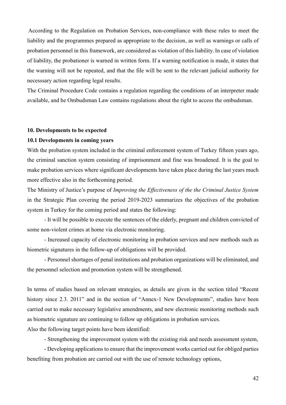According to the Regulation on Probation Services, non-compliance with these rules to meet the liability and the programmes prepared as appropriate to the decision, as well as warnings or calls of probation personnel in this framework, are considered as violation of this liability. In case of violation of liability, the probationer is warned in written form. If a warning notification is made, it states that the warning will not be repeated, and that the file will be sent to the relevant judicial authority for necesssary action regarding legal results.

The Criminal Procedure Code contains a regulation regarding the conditions of an interpreter made available, and he Ombudsman Law contains regulations about the right to access the ombudsman.

#### **10. Developments to be expected**

## **10.1 Developments in coming years**

With the probation system included in the criminal enforcement system of Turkey fifteen years ago, the criminal sanction system consisting of imprisonment and fine was broadened. It is the goal to make probation services where significant developments have taken place during the last years much more effective also in the forthcoming period.

The Ministry of Justice's purpose of *Improving the Effectiveness of the the Criminal Justice System* in the Strategic Plan covering the period 2019-2023 summarizes the objectives of the probation system in Turkey for the coming period and states the following:

- It will be possible to execute the sentences of the elderly, pregnant and children convicted of some non-violent crimes at home via electronic monitoring.

- Increased capacity of electronic monitoring in probation services and new methods such as biometric signatures in the follow-up of obligations will be provided.

- Personnel shortages of penal institutions and probation organizations will be eliminated, and the personnel selection and promotion system will be strengthened.

In terms of studies based on relevant strategies, as details are given in the section titled "Recent history since 2.3. 2011" and in the section of "Annex-1 New Developments", studies have been carried out to make necessary legislative amendments, and new electronic monitoring methods such as biometric signature are continuing to follow up obligations in probation services.

Also the following target points have been identified:

- Strengthening the improvement system with the existing risk and needs assessment system,

- Developing applications to ensure that the improvement works carried out for obliged parties benefiting from probation are carried out with the use of remote technology options,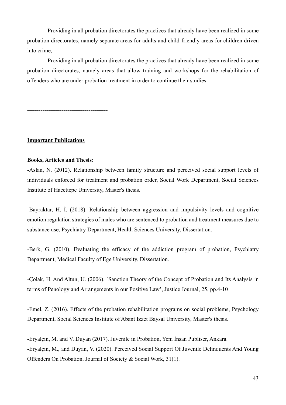- Providing in all probation directorates the practices that already have been realized in some probation directorates, namely separate areas for adults and child-friendly areas for children driven into crime,

- Providing in all probation directorates the practices that already have been realized in some probation directorates, namely areas that allow training and workshops for the rehabilitation of offenders who are under probation treatment in order to continue their studies.

**------------------------------------------**

# **Important Publications**

## **Books, Articles and Thesis:**

-Aslan, N. (2012). Relationship between family structure and perceived social support levels of individuals enforced for treatment and probation order, Social Work Department, Social Sciences Institute of Hacettepe University, Master's thesis.

-Bayraktar, H. İ. (2018). Relationship between aggression and impulsivity levels and cognitive emotion regulation strategies of males who are sentenced to probation and treatment measures due to substance use, Psychiatry Department, Health Sciences University, Dissertation.

-Berk, G. (2010). Evaluating the efficacy of the addiction program of probation, Psychiatry Department, Medical Faculty of Ege University, Dissertation.

-Colak, H. And Altun, U. (2006). Sanction Theory of the Concept of Probation and Its Analysis in terms of Penology and Arrangements in our Positive Law', Justice Journal, 25, pp.4-10

-Emel, Z. (2016). Effects of the probation rehabilitation programs on social problems, Psychology Department, Social Sciences Institute of Abant Izzet Baysal University, Master's thesis.

-Eryalçın, M. and V. Duyan (2017). Juvenile in Probation, Yeni İnsan Publiser, Ankara. -Eryalçın, M., and Duyan, V. (2020). Perceived Social Support Of Juvenile Delinquents And Young Offenders On Probation. Journal of Society & Social Work, 31(1).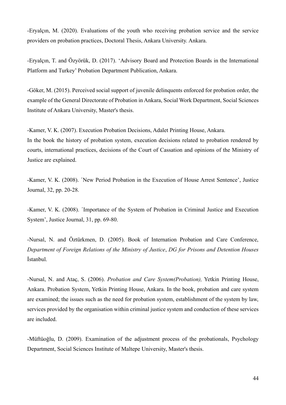-Eryalçın, M. (2020). Evaluations of the youth who receiving probation service and the service providers on probation practices, Doctoral Thesis, Ankara University. Ankara.

-Eryalçın, T. and Özyörük, D. (2017). 'Advisory Board and Protection Boards in the International Platform and Turkey' Probation Department Publication, Ankara.

-Göker, M. (2015). Perceived social support of juvenile delinquents enforced for probation order, the example of the General Directorate of Probation in Ankara, Social Work Department, Social Sciences Institute of Ankara University, Master's thesis.

-Kamer, V. K. (2007). Execution Probation Decisions, Adalet Printing House, Ankara. In the book the history of probation system, execution decisions related to probation rendered by courts, international practices, decisions of the Court of Cassation and opinions of the Ministry of Justice are explained.

-Kamer, V. K. (2008). 'New Period Probation in the Execution of House Arrest Sentence', Justice Journal, 32, pp. 20-28.

-Kamer, V. K. (2008). 'Importance of the System of Probation in Criminal Justice and Execution System', Justice Journal, 31, pp. 69-80.

-Nursal, N. and Öztürkmen, D. (2005). Book of Internation Probation and Care Conference, *Department of Foreign Relations of the Ministry of Justice*, *DG for Prisons and Detention Houses*  İstanbul.

-Nursal, N. and Ataç, S. (2006). *Probation and Care System(Probation),* Yetkin Printing House, Ankara. Probation System, Yetkin Printing House, Ankara. In the book, probation and care system are examined; the issues such as the need for probation system, establishment of the system by law, services provided by the organisation within criminal justice system and conduction of these services are included.

-Müftüoğlu, D. (2009). Examination of the adjustment process of the probationals, Psychology Department, Social Sciences Institute of Maltepe University, Master's thesis.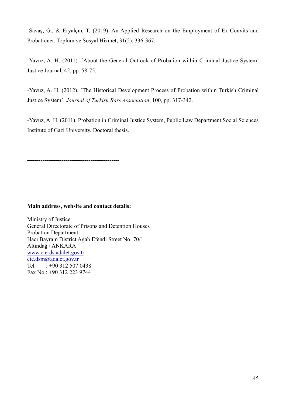-Savaş, G., & Eryalçın, T. (2019). An Applied Research on the Employment of Ex-Convits and Probationer. Toplum ve Sosyal Hizmet, 31(2), 336-367.

-Yavuz, A. H. (2011). 'About the General Outlook of Probation within Criminal Justice System' Justice Journal, 42, pp. 58-75.

-Yavuz, A. H. (2012). 'The Historical Development Process of Probation within Turkish Criminal Justice System'. *Journal of Turkish Bars Association*, 100, pp. 317-342.

-Yavuz, A. H. (2011). Probation in Criminal Justice System, Public Law Department Social Sciences Institute of Gazi University, Doctoral thesis.

**------------------------------------------------**

#### **Main address, website and contact details:**

Ministry of Justice General Directorate of Prisons and Detention Houses Probation Department Hacı Bayram District Agah Efendi Street No: 70/1 Altındağ / ANKARA [www.cte-ds.adalet.gov.tr](http://www.cte-ds.adalet.gov.tr/) [cte.dsm@adalet.gov.tr](mailto:cte.dsm@adalet.gov.tr) Tel : +90 312 507 0438 Fax No : +90 312 223 9744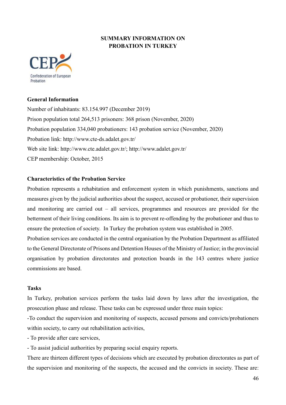# **SUMMARY INFORMATION ON PROBATION IN TURKEY**



# **General Information**

Number of inhabitants: 83.154.997 (December 2019) Prison population total 264,513 prisoners: 368 prison (November, 2020) Probation population 334,040 probationers: 143 probation service (November, 2020) Probation link: http://www.cte-ds.adalet.gov.tr/ Web site link: http://www.cte.adalet.gov.tr/; http://www.adalet.gov.tr/ CEP membership: October, 2015

# **Characteristics of the Probation Service**

Probation represents a rehabitation and enforcement system in which punishments, sanctions and measures given by the judicial authorities about the suspect, accused or probationer, their supervision and monitoring are carried out – all services, programmes and resources are provided for the betterment of their living conditions. Its aim is to prevent re-offending by the probationer and thus to ensure the protection of society. In Turkey the probation system was established in 2005.

Probation services are conducted in the central organisation by the Probation Department as affiliated to the General Directorate of Prisons and Detention Houses of the Ministry of Justice; in the provincial organisation by probation directorates and protection boards in the 143 centres where justice commissions are based.

# **Tasks**

In Turkey, probation services perform the tasks laid down by laws after the investigation, the prosecution phase and release. These tasks can be expressed under three main topics:

-To conduct the supervision and monitoring of suspects, accused persons and convicts/probationers within society, to carry out rehabilitation activities,

- To provide after care services,

- To assist judicial authorities by preparing social enquiry reports.

There are thirteen different types of decisions which are executed by probation directorates as part of the supervision and monitoring of the suspects, the accused and the convicts in society. These are: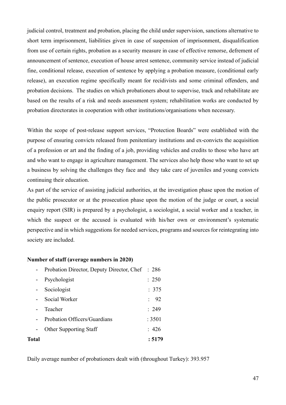judicial control, treatment and probation, placing the child under supervision, sanctions alternative to short term imprisonment, liabilities given in case of suspension of imprisonment, disqualification from use of certain rights, probation as a security measure in case of effective remorse, defrement of announcement of sentence, execution of house arrest sentence, community service instead of judicial fine, conditional release, execution of sentence by applying a probation measure, (conditional early release), an execution regime specifically meant for recidivists and some criminal offenders, and probation decisions. The studies on which probationers about to supervise, track and rehabilitate are based on the results of a risk and needs assessment system; rehabilitation works are conducted by probation directorates in cooperation with other institutions/organisations when necessary.

Within the scope of post-release support services, "Protection Boards" were established with the purpose of ensuring convicts released from penitentiary institutions and ex-convicts the acquisition of a profession or art and the finding of a job, providing vehicles and credits to those who have art and who want to engage in agriculture management. The services also help those who want to set up a business by solving the challenges they face and they take care of juveniles and young convicts continuing their education.

As part of the service of assisting judicial authorities, at the investigation phase upon the motion of the public prosecutor or at the prosecution phase upon the motion of the judge or court, a social enquiry report (SIR) is prepared by a psychologist, a sociologist, a social worker and a teacher, in which the suspect or the accused is evaluated with his/her own or environment's systematic perspective and in which suggestions for needed services, programs and sources for reintegrating into society are included.

# **Number of staff (average numbers in 2020)**

| Total |                                                 | : 5179           |
|-------|-------------------------------------------------|------------------|
|       | <b>Other Supporting Staff</b>                   | : 426            |
|       | Probation Officers/Guardians                    | : 3501           |
|       | Teacher                                         | : 249            |
|       | Social Worker                                   | $\frac{1}{2}$ 92 |
|       | Sociologist                                     | : 375            |
|       | Psychologist                                    | : 250            |
|       | Probation Director, Deputy Director, Chef : 286 |                  |

Daily average number of probationers dealt with (throughout Turkey): 393.957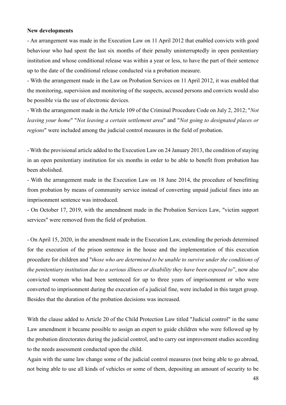#### **New developments**

- An arrangement was made in the Execution Law on 11 April 2012 that enabled convicts with good behaviour who had spent the last six months of their penalty uninterruptedly in open penitentiary institution and whose conditional release was within a year or less, to have the part of their sentence up to the date of the conditional release conducted via a probation measure.

- With the arrangement made in the Law on Probation Services on 11 April 2012, it was enabled that the monitoring, supervision and monitoring of the suspects, accused persons and convicts would also be possible via the use of electronic devices.

- With the arrangement made in the Article 109 of the Criminal Procedure Code on July 2, 2012; "*Not leaving your home*" "*Not leaving a certain settlement area*" and "*Not going to designated places or regions*" were included among the judicial control measures in the field of probation.

- With the provisional article added to the Execution Law on 24 January 2013, the condition of staying in an open penitentiary institution for six months in order to be able to benefit from probation has been abolished.

- With the arrangement made in the Execution Law on 18 June 2014, the procedure of benefitting from probation by means of community service instead of converting unpaid judicial fines into an imprisonment sentence was introduced.

- On October 17, 2019, with the amendment made in the Probation Services Law, "victim support services" were removed from the field of probation.

- On April 15, 2020, in the amendment made in the Execution Law, extending the periods determined for the execution of the prison sentence in the house and the implementation of this execution procedure for children and "*those who are determined to be unable to survive under the conditions of the penitentiary institution due to a serious illness or disability they have been exposed to*", now also convicted women who had been sentenced for up to three years of imprisonment or who were converted to imprisonment during the execution of a judicial fine, were included in this target group. Besides that the duration of the probation decisions was increased.

With the clause added to Article 20 of the Child Protection Law titled "Judicial control" in the same Law amendment it became possible to assign an expert to guide children who were followed up by the probation directorates during the judicial control, and to carry out improvement studies according to the needs assessment conducted upon the child.

Again with the same law change some of the judicial control measures (not being able to go abroad, not being able to use all kinds of vehicles or some of them, depositing an amount of security to be